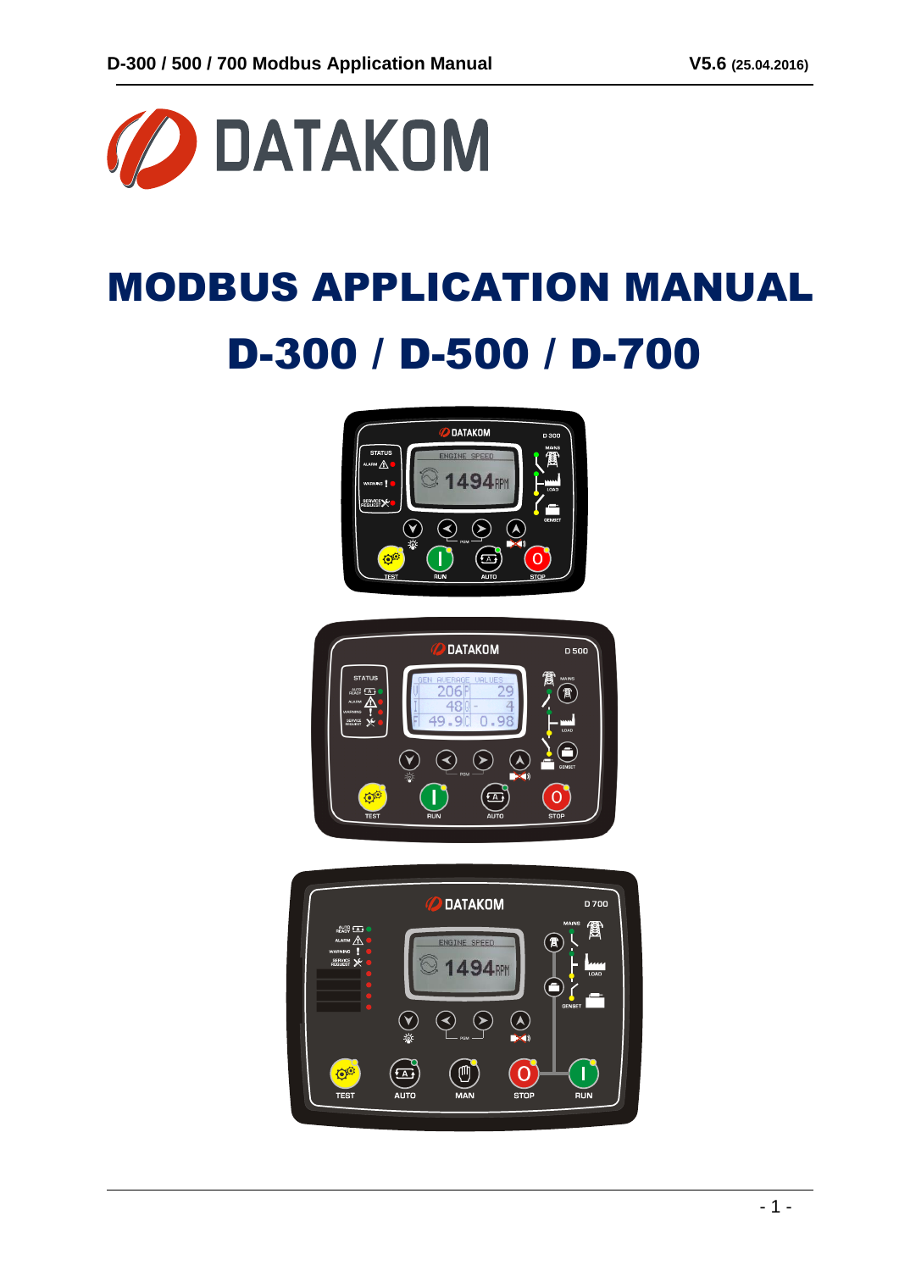

# MODBUS APPLICATION MANUAL D-300 / D-500 / D-700





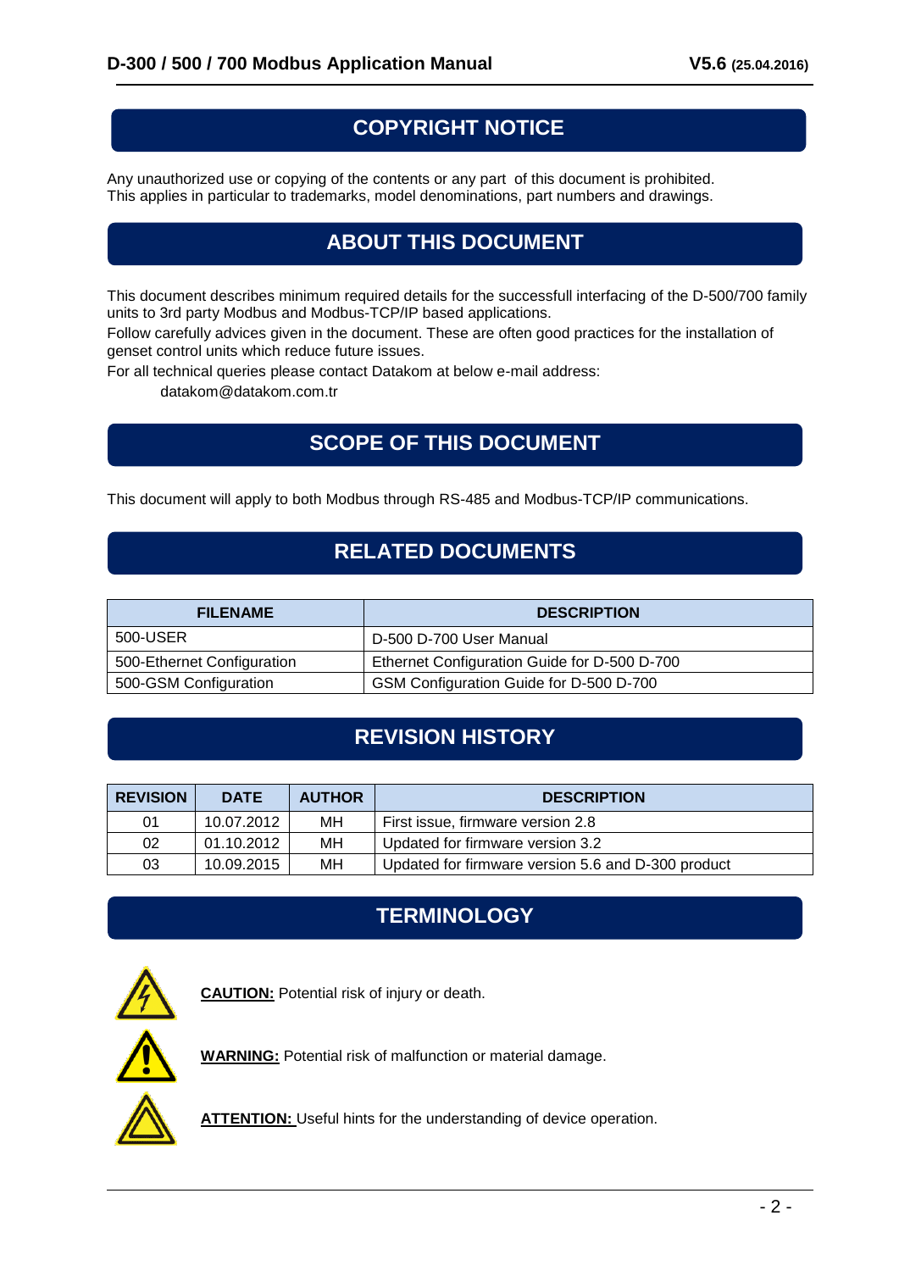## **COPYRIGHT NOTICE**

Any unauthorized use or copying of the contents or any part of this document is prohibited. This applies in particular to trademarks, model denominations, part numbers and drawings.

# **ABOUT THIS DOCUMENT**

This document describes minimum required details for the successfull interfacing of the D-500/700 family units to 3rd party Modbus and Modbus-TCP/IP based applications.

Follow carefully advices given in the document. These are often good practices for the installation of genset control units which reduce future issues.

For all technical queries please contact Datakom at below e-mail address:

datakom@datakom.com.tr

## **SCOPE OF THIS DOCUMENT**

This document will apply to both Modbus through RS-485 and Modbus-TCP/IP communications.

## **RELATED DOCUMENTS**

| <b>FILENAME</b>            | <b>DESCRIPTION</b>                           |
|----------------------------|----------------------------------------------|
| 500-USER                   | D-500 D-700 User Manual                      |
| 500-Ethernet Configuration | Ethernet Configuration Guide for D-500 D-700 |
| 500-GSM Configuration      | GSM Configuration Guide for D-500 D-700      |

# **REVISION HISTORY**

| <b>REVISION</b> | <b>DATE</b> | <b>AUTHOR</b> | <b>DESCRIPTION</b>                                 |
|-----------------|-------------|---------------|----------------------------------------------------|
| 01              | 10.07.2012  | MН            | First issue, firmware version 2.8                  |
| 02              | 01.10.2012  | MН            | Updated for firmware version 3.2                   |
| 03              | 10.09.2015  | MН            | Updated for firmware version 5.6 and D-300 product |

## **TERMINOLOGY**



**CAUTION:** Potential risk of injury or death.



**WARNING:** Potential risk of malfunction or material damage.

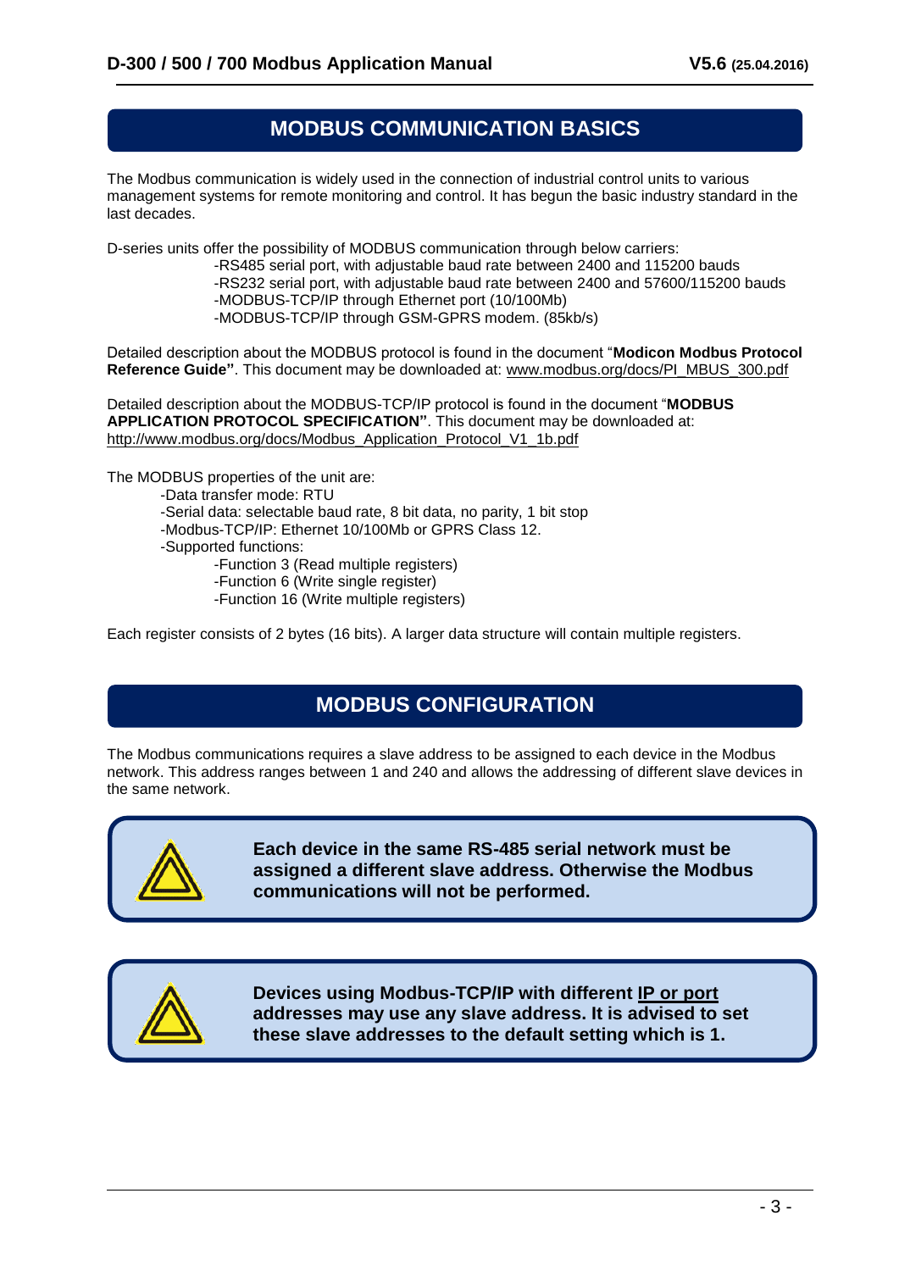#### **MODBUS COMMUNICATION BASICS**

The Modbus communication is widely used in the connection of industrial control units to various management systems for remote monitoring and control. It has begun the basic industry standard in the last decades.

D-series units offer the possibility of MODBUS communication through below carriers:

-RS485 serial port, with adjustable baud rate between 2400 and 115200 bauds -RS232 serial port, with adjustable baud rate between 2400 and 57600/115200 bauds -MODBUS-TCP/IP through Ethernet port (10/100Mb) -MODBUS-TCP/IP through GSM-GPRS modem. (85kb/s)

Detailed description about the MODBUS protocol is found in the document "**Modicon Modbus Protocol Reference Guide"**. This document may be downloaded at: [www.modbus.org/docs/PI\\_MBUS\\_300.pdf](../../Users/Casper/AppData/Local/Microsoft/Windows/INetCache/Content.Outlook/AppData/Local/Microsoft/Windows/INetCache/Content.Outlook/YNVGKIYV/www.modbus.org/docs/PI_MBUS_300.pdf)

Detailed description about the MODBUS-TCP/IP protocol is found in the document "**MODBUS APPLICATION PROTOCOL SPECIFICATION"**. This document may be downloaded at: http://www.modbus.org/docs/Modbus\_Application\_Protocol\_V1\_1b.pdf

The MODBUS properties of the unit are:

- -Data transfer mode: RTU
- -Serial data: selectable baud rate, 8 bit data, no parity, 1 bit stop
- -Modbus-TCP/IP: Ethernet 10/100Mb or GPRS Class 12.
- -Supported functions:
	- -Function 3 (Read multiple registers)
	- -Function 6 (Write single register)
	- -Function 16 (Write multiple registers)

Each register consists of 2 bytes (16 bits). A larger data structure will contain multiple registers.

## **MODBUS CONFIGURATION**

The Modbus communications requires a slave address to be assigned to each device in the Modbus network. This address ranges between 1 and 240 and allows the addressing of different slave devices in the same network.



**Each device in the same RS-485 serial network must be assigned a different slave address. Otherwise the Modbus communications will not be performed.**



**Devices using Modbus-TCP/IP with different IP or port addresses may use any slave address. It is advised to set these slave addresses to the default setting which is 1.**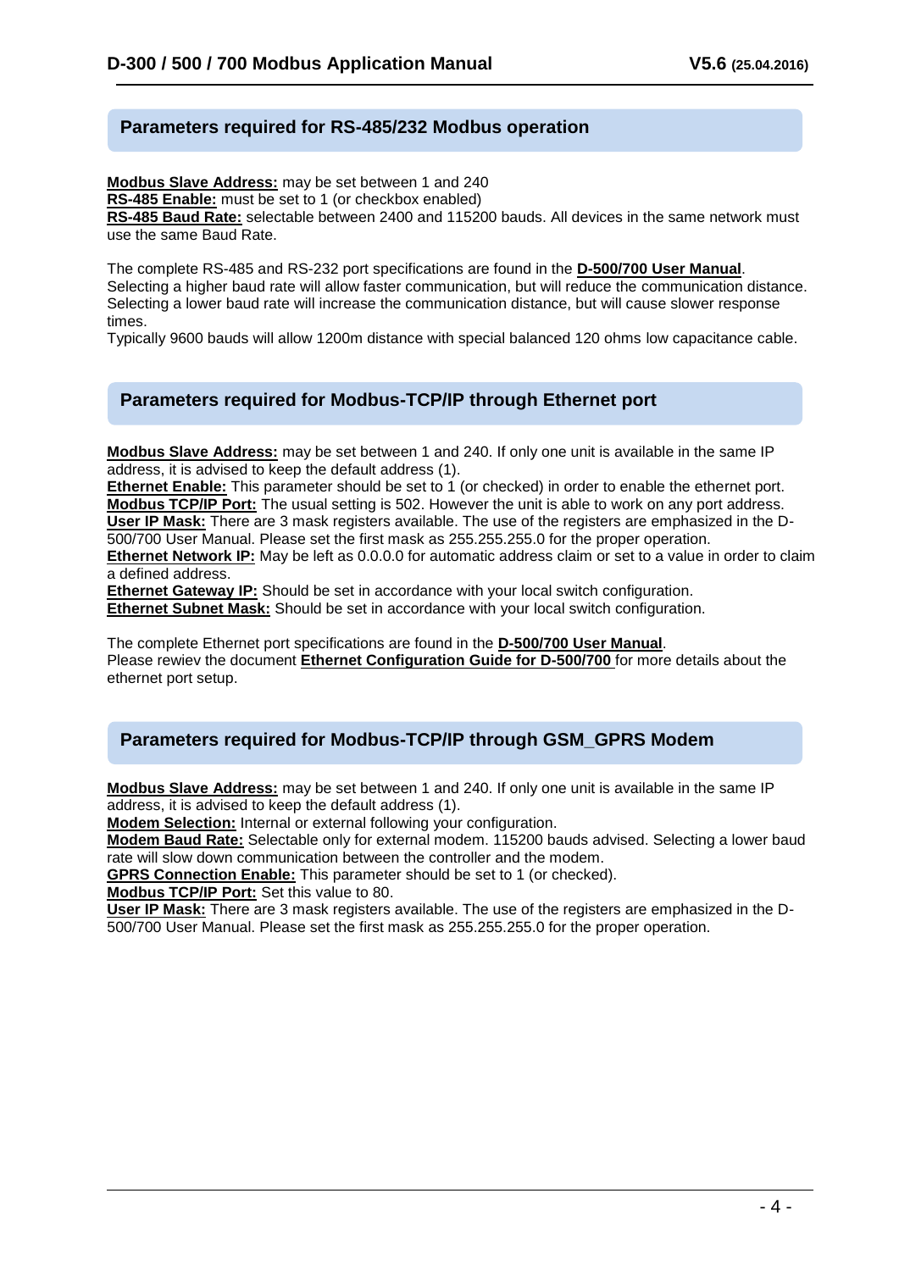#### **Parameters required for RS-485/232 Modbus operation**

**Modbus Slave Address:** may be set between 1 and 240 **RS-485 Enable:** must be set to 1 (or checkbox enabled) **RS-485 Baud Rate:** selectable between 2400 and 115200 bauds. All devices in the same network must use the same Baud Rate.

The complete RS-485 and RS-232 port specifications are found in the **D-500/700 User Manual**. Selecting a higher baud rate will allow faster communication, but will reduce the communication distance. Selecting a lower baud rate will increase the communication distance, but will cause slower response times.

Typically 9600 bauds will allow 1200m distance with special balanced 120 ohms low capacitance cable.

#### **Parameters required for Modbus-TCP/IP through Ethernet port**

**Modbus Slave Address:** may be set between 1 and 240. If only one unit is available in the same IP address, it is advised to keep the default address (1).

**Ethernet Enable:** This parameter should be set to 1 (or checked) in order to enable the ethernet port. **Modbus TCP/IP Port:** The usual setting is 502. However the unit is able to work on any port address. **User IP Mask:** There are 3 mask registers available. The use of the registers are emphasized in the D-500/700 User Manual. Please set the first mask as 255.255.255.0 for the proper operation.

**Ethernet Network IP:** May be left as 0.0.0.0 for automatic address claim or set to a value in order to claim a defined address.

**Ethernet Gateway IP:** Should be set in accordance with your local switch configuration.

**Ethernet Subnet Mask:** Should be set in accordance with your local switch configuration.

The complete Ethernet port specifications are found in the **D-500/700 User Manual**. Please rewiev the document **Ethernet Configuration Guide for D-500/700** for more details about the ethernet port setup.

#### **Parameters required for Modbus-TCP/IP through GSM\_GPRS Modem**

**Modbus Slave Address:** may be set between 1 and 240. If only one unit is available in the same IP address, it is advised to keep the default address (1).

**Modem Selection:** Internal or external following your configuration.

**Modem Baud Rate:** Selectable only for external modem. 115200 bauds advised. Selecting a lower baud rate will slow down communication between the controller and the modem.

**GPRS Connection Enable:** This parameter should be set to 1 (or checked).

**Modbus TCP/IP Port:** Set this value to 80.

**User IP Mask:** There are 3 mask registers available. The use of the registers are emphasized in the D-500/700 User Manual. Please set the first mask as 255.255.255.0 for the proper operation.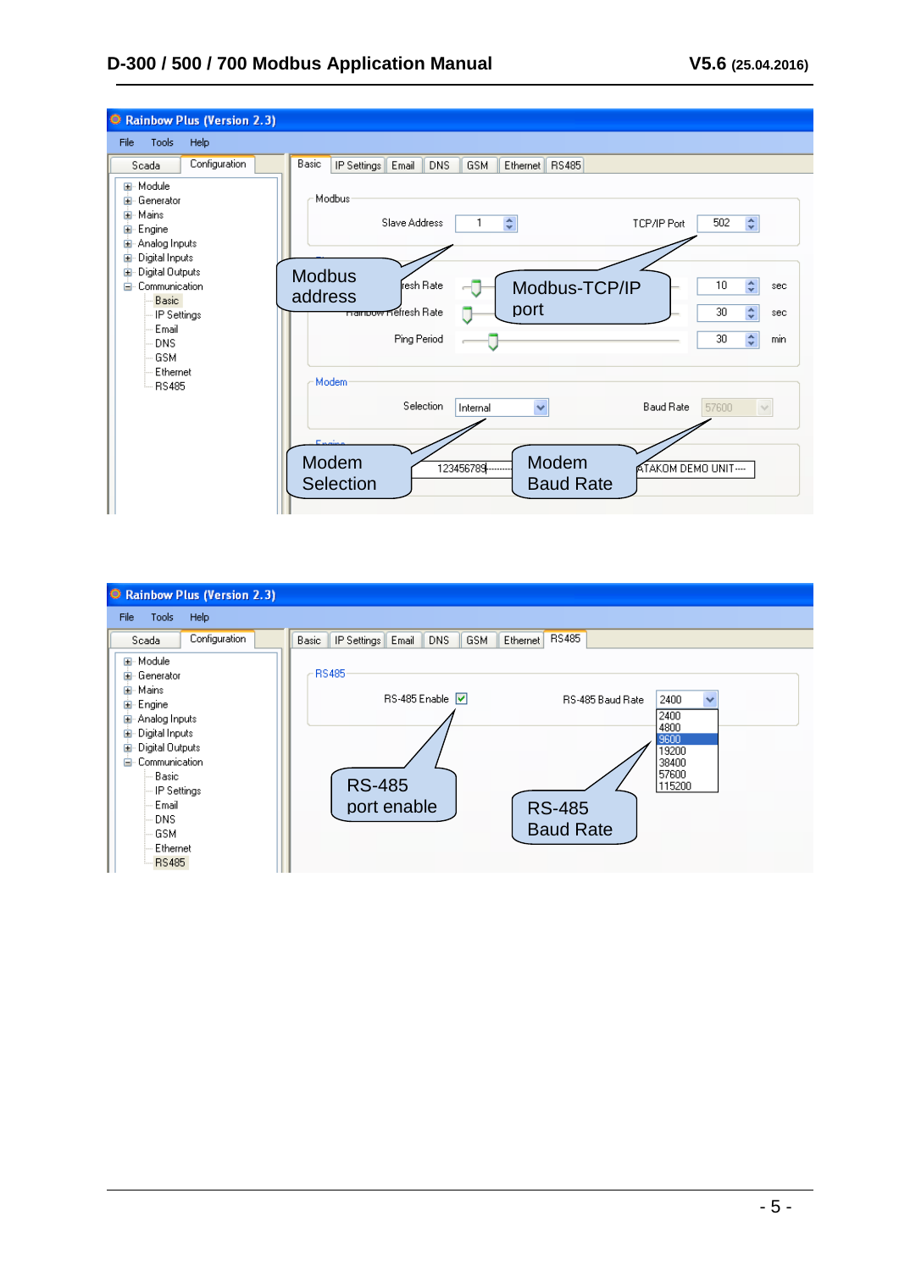| C Rainbow Plus (Version 2.3)                                                                                                                                                                                                                                                      |                                                                                                                                                                                                                                                                                                                                                                                                                                                                                                                                                |
|-----------------------------------------------------------------------------------------------------------------------------------------------------------------------------------------------------------------------------------------------------------------------------------|------------------------------------------------------------------------------------------------------------------------------------------------------------------------------------------------------------------------------------------------------------------------------------------------------------------------------------------------------------------------------------------------------------------------------------------------------------------------------------------------------------------------------------------------|
| File<br>Tools<br>Help                                                                                                                                                                                                                                                             |                                                                                                                                                                                                                                                                                                                                                                                                                                                                                                                                                |
| Configuration<br>Scada<br>E-Module<br>国 Generator<br>直· Mains<br><b>⊞</b> Engine<br>国· Analog Inputs<br>Digital Inputs<br>Ė<br>Digital Outputs<br>国<br><b>Communication</b><br>Ėŀ<br><b>Basic</b><br>IP Settings<br>Email<br><b>DNS</b><br><b>GSM</b><br>Ethernet<br><b>RS485</b> | Basic<br>IP Settings Email<br>DNS.<br><b>GSM</b><br>Ethernet   RS485<br>Modbus<br>$\hat{\mathbf{v}}$<br>$\hat{\mathbf{v}}$<br>502<br>Slave Address<br>1<br>TCP/IP Port<br><b>Modbus</b><br>$\stackrel{\scriptscriptstyle \ast}{\scriptscriptstyle \ast}$<br>resh Rate<br>10<br>Modbus-TCP/IP<br>sec<br>address<br>port<br>$\div$<br>30<br><del>namoow R</del> efresh Rate<br>sec<br>$\hat{\mathbf{v}}$<br>30<br>Ping Period<br>min<br>Modem<br>Selection<br><b>Baud Rate</b><br>$\checkmark$<br>57600<br>Internal<br>$\vee$<br><b>The Line</b> |
|                                                                                                                                                                                                                                                                                   | Modem<br>Modem<br>123456789<br>ATAKOM DEMO UNIT-<br><b>Baud Rate</b><br>Selection                                                                                                                                                                                                                                                                                                                                                                                                                                                              |

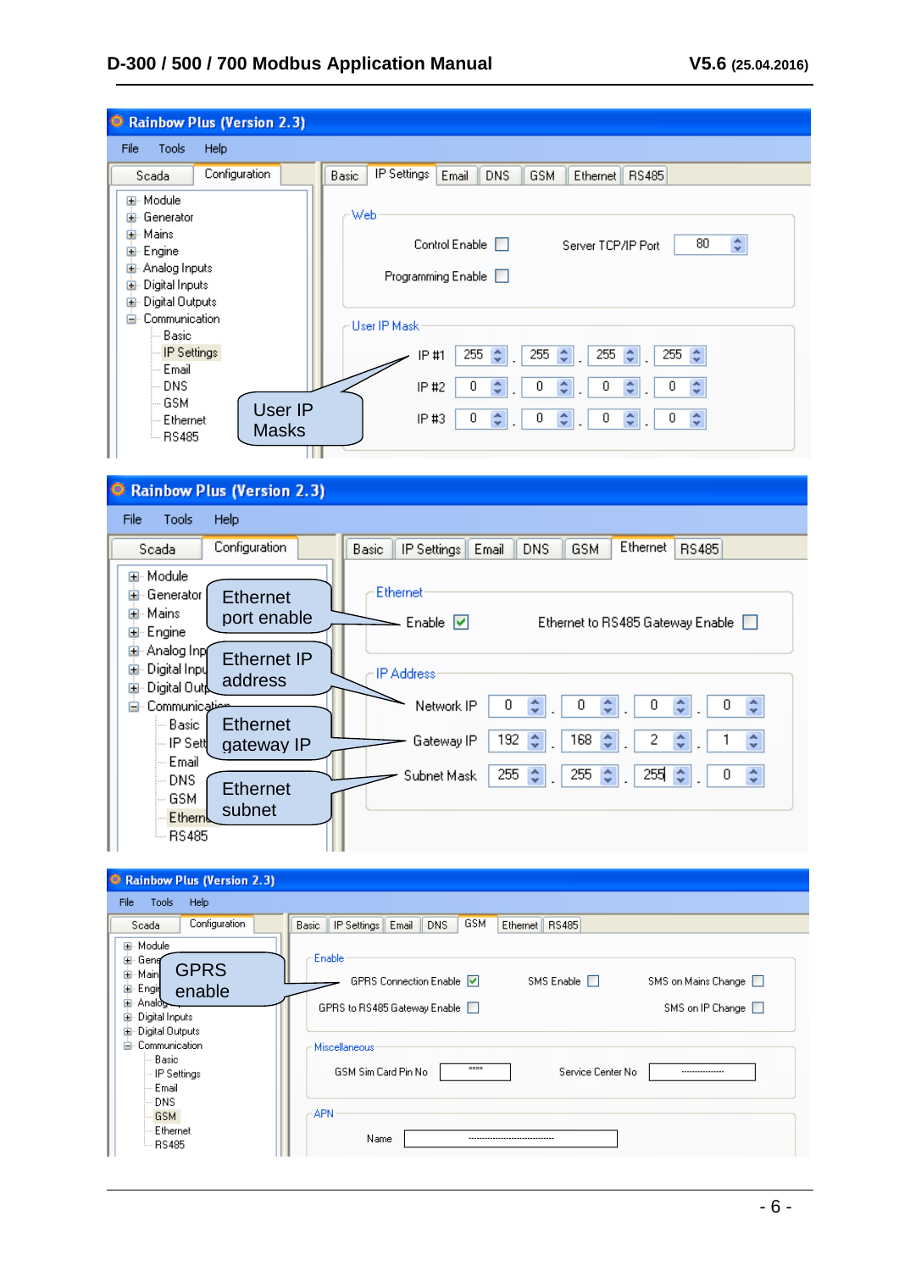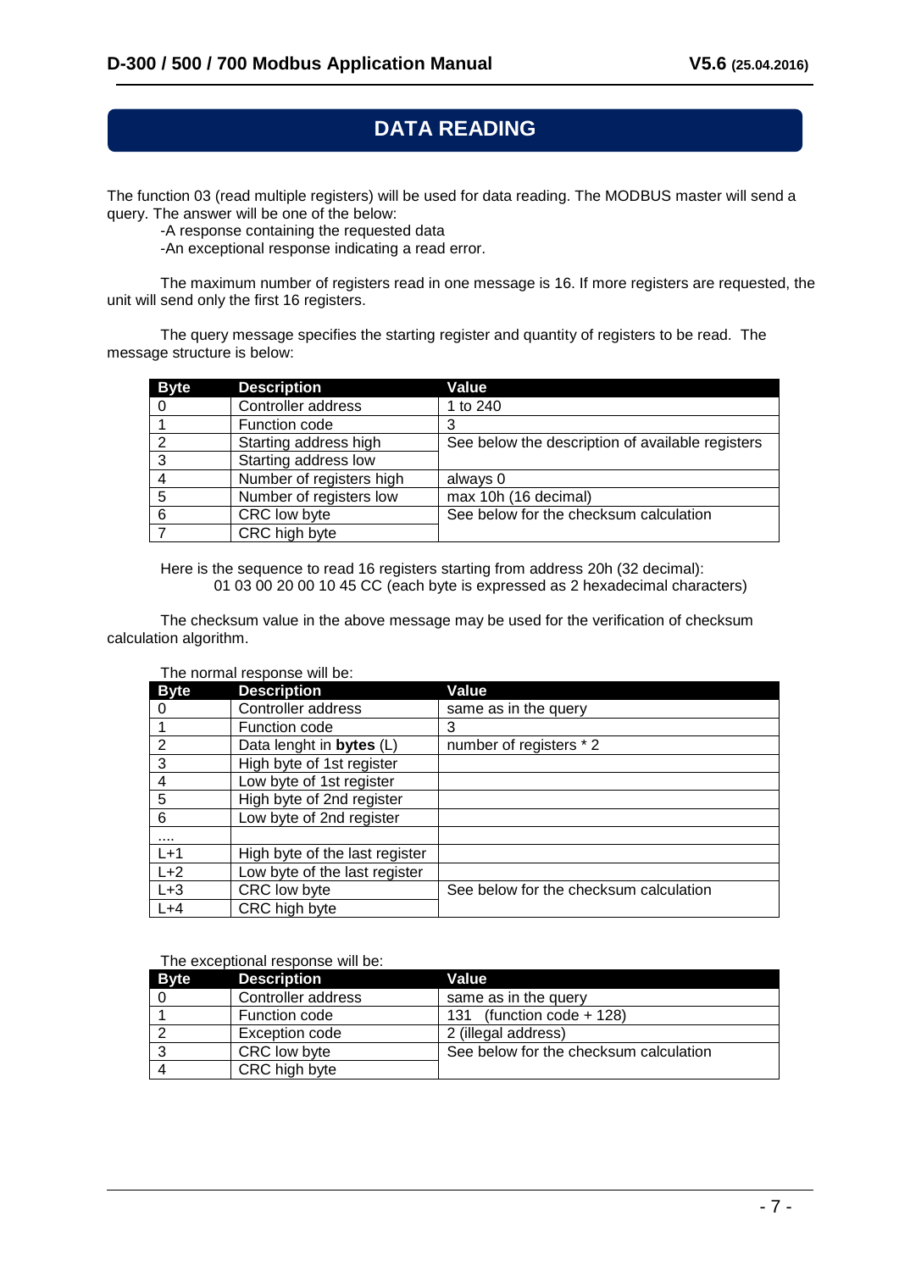# **DATA READING**

The function 03 (read multiple registers) will be used for data reading. The MODBUS master will send a query. The answer will be one of the below:

-A response containing the requested data

-An exceptional response indicating a read error.

The maximum number of registers read in one message is 16. If more registers are requested, the unit will send only the first 16 registers.

The query message specifies the starting register and quantity of registers to be read. The message structure is below:

| <b>Byte</b> | <b>Description</b>       | Value                                            |
|-------------|--------------------------|--------------------------------------------------|
|             | Controller address       | 1 to 240                                         |
|             | Function code            |                                                  |
| - 2         | Starting address high    | See below the description of available registers |
| 3           | Starting address low     |                                                  |
|             | Number of registers high | always 0                                         |
| 5           | Number of registers low  | max 10h (16 decimal)                             |
| -6          | CRC low byte             | See below for the checksum calculation           |
|             | CRC high byte            |                                                  |

Here is the sequence to read 16 registers starting from address 20h (32 decimal): 01 03 00 20 00 10 45 CC (each byte is expressed as 2 hexadecimal characters)

The checksum value in the above message may be used for the verification of checksum calculation algorithm.

#### The normal response will be:

| <b>Byte</b> | <b>Description</b>             | Value                                  |
|-------------|--------------------------------|----------------------------------------|
|             | Controller address             | same as in the query                   |
|             | Function code                  | 3                                      |
| 2           | Data lenght in bytes (L)       | number of registers * 2                |
| 3           | High byte of 1st register      |                                        |
| 4           | Low byte of 1st register       |                                        |
| 5           | High byte of 2nd register      |                                        |
| 6           | Low byte of 2nd register       |                                        |
|             |                                |                                        |
| $L+1$       | High byte of the last register |                                        |
| $L+2$       | Low byte of the last register  |                                        |
| $L+3$       | CRC low byte                   | See below for the checksum calculation |
| $L+4$       | CRC high byte                  |                                        |

#### The exceptional response will be:

| Bvte | <b>Description</b> | Value                                  |
|------|--------------------|----------------------------------------|
|      | Controller address | same as in the query                   |
|      | Function code      | (function code $+$ 128)<br>131         |
|      | Exception code     | 2 (illegal address)                    |
|      | CRC low byte       | See below for the checksum calculation |
|      | CRC high byte      |                                        |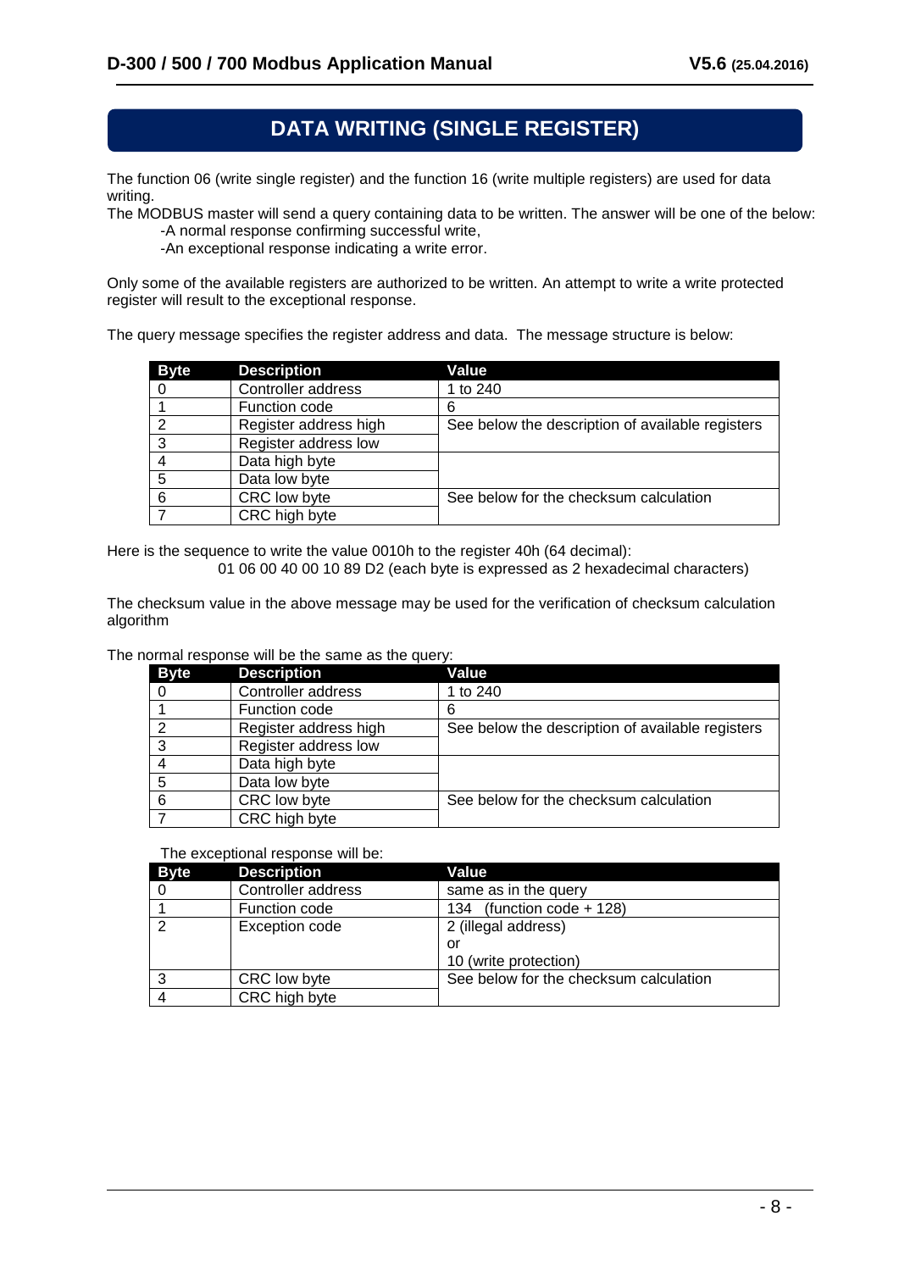## **DATA WRITING (SINGLE REGISTER)**

The function 06 (write single register) and the function 16 (write multiple registers) are used for data writing.

The MODBUS master will send a query containing data to be written. The answer will be one of the below: -A normal response confirming successful write,

-An exceptional response indicating a write error.

Only some of the available registers are authorized to be written. An attempt to write a write protected register will result to the exceptional response.

The query message specifies the register address and data. The message structure is below:

| <b>Byte</b> | <b>Description</b>    | Value                                            |
|-------------|-----------------------|--------------------------------------------------|
|             | Controller address    | 1 to 240                                         |
|             | Function code         | 6                                                |
|             | Register address high | See below the description of available registers |
| 3           | Register address low  |                                                  |
|             | Data high byte        |                                                  |
| 5           | Data low byte         |                                                  |
| 6           | CRC low byte          | See below for the checksum calculation           |
|             | CRC high byte         |                                                  |

Here is the sequence to write the value 0010h to the register 40h (64 decimal):

01 06 00 40 00 10 89 D2 (each byte is expressed as 2 hexadecimal characters)

The checksum value in the above message may be used for the verification of checksum calculation algorithm

The normal response will be the same as the query:

| <b>Byte</b> | <b>Description</b>    | Value                                            |
|-------------|-----------------------|--------------------------------------------------|
|             | Controller address    | 1 to 240                                         |
|             | Function code         | 6                                                |
| っ           | Register address high | See below the description of available registers |
| વ           | Register address low  |                                                  |
|             | Data high byte        |                                                  |
| 5           | Data low byte         |                                                  |
| 6           | CRC low byte          | See below for the checksum calculation           |
|             | CRC high byte         |                                                  |

The exceptional response will be:

| <b>Byte</b> | <b>Description</b> | Value                                  |
|-------------|--------------------|----------------------------------------|
|             | Controller address | same as in the query                   |
|             | Function code      | (function code $+$ 128)<br>134         |
| ົ           | Exception code     | 2 (illegal address)                    |
|             |                    | or                                     |
|             |                    | 10 (write protection)                  |
| ົ           | CRC low byte       | See below for the checksum calculation |
|             | CRC high byte      |                                        |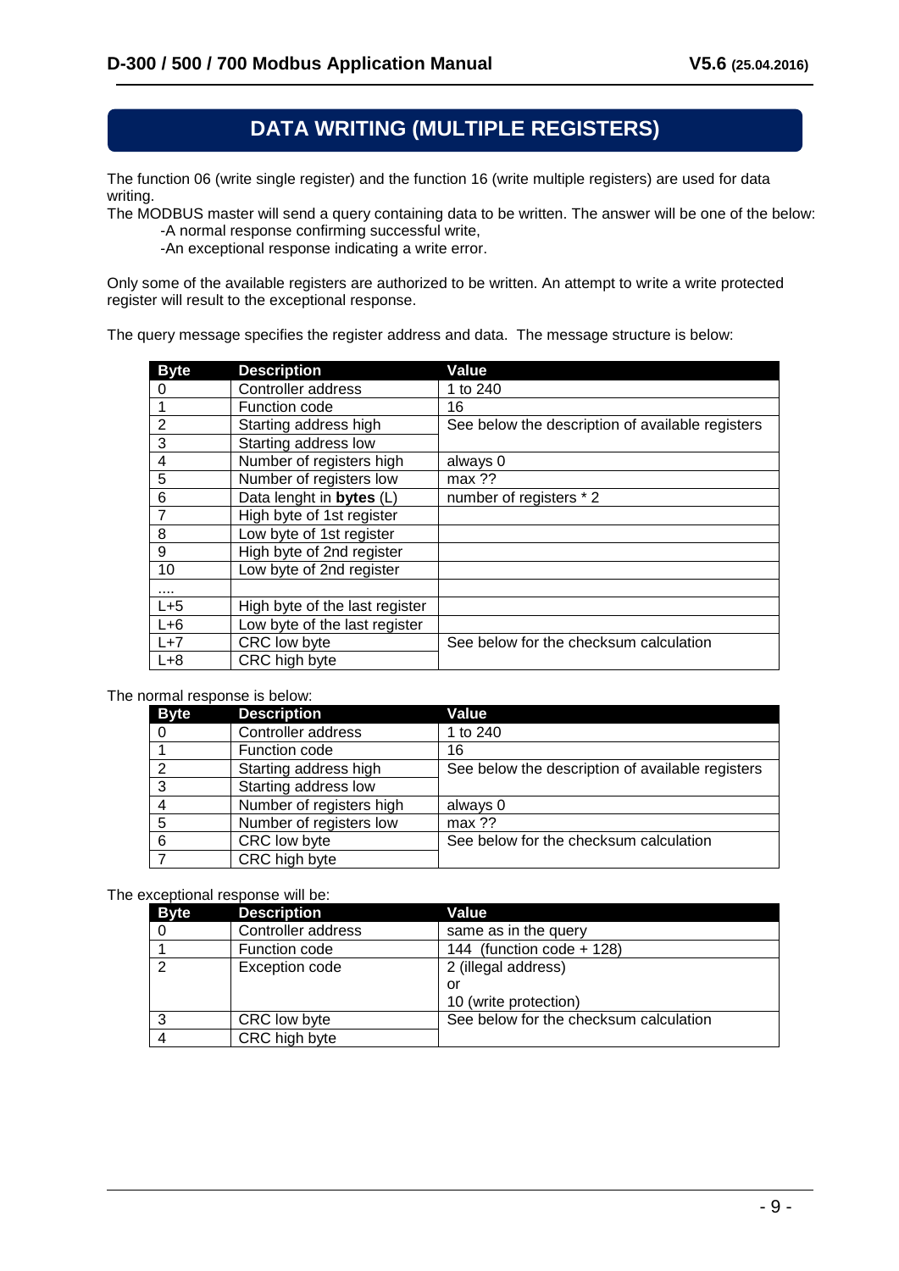# **DATA WRITING (MULTIPLE REGISTERS)**

The function 06 (write single register) and the function 16 (write multiple registers) are used for data writing.

The MODBUS master will send a query containing data to be written. The answer will be one of the below: -A normal response confirming successful write,

-An exceptional response indicating a write error.

Only some of the available registers are authorized to be written. An attempt to write a write protected register will result to the exceptional response.

The query message specifies the register address and data. The message structure is below:

| <b>Byte</b>    | <b>Description</b>             | Value                                            |
|----------------|--------------------------------|--------------------------------------------------|
| 0              | Controller address             | 1 to 240                                         |
|                | Function code                  | 16                                               |
| $\overline{2}$ | Starting address high          | See below the description of available registers |
| 3              | Starting address low           |                                                  |
| 4              | Number of registers high       | always 0                                         |
| 5              | Number of registers low        | max ??                                           |
| 6              | Data lenght in bytes (L)       | number of registers *2                           |
| 7              | High byte of 1st register      |                                                  |
| 8              | Low byte of 1st register       |                                                  |
| 9              | High byte of 2nd register      |                                                  |
| 10             | Low byte of 2nd register       |                                                  |
|                |                                |                                                  |
| $L+5$          | High byte of the last register |                                                  |
| $L+6$          | Low byte of the last register  |                                                  |
| $L+7$          | CRC low byte                   | See below for the checksum calculation           |
| $L+8$          | CRC high byte                  |                                                  |

#### The normal response is below:

| <b>Byte</b> | <b>Description</b>       | Value                                            |
|-------------|--------------------------|--------------------------------------------------|
| 0           | Controller address       | 1 to 240                                         |
|             | Function code            | 16                                               |
| 2           | Starting address high    | See below the description of available registers |
| 3           | Starting address low     |                                                  |
|             | Number of registers high | always 0                                         |
| 5           | Number of registers low  | max ??                                           |
| 6           | CRC low byte             | See below for the checksum calculation           |
|             | CRC high byte            |                                                  |

#### The exceptional response will be:

| <b>Byte</b>    | <b>Description</b> | Value                                  |
|----------------|--------------------|----------------------------------------|
| 0              | Controller address | same as in the query                   |
|                | Function code      | 144 (function code + 128)              |
| $\overline{2}$ | Exception code     | 2 (illegal address)                    |
|                |                    | or                                     |
|                |                    | 10 (write protection)                  |
| 3              | CRC low byte       | See below for the checksum calculation |
|                | CRC high byte      |                                        |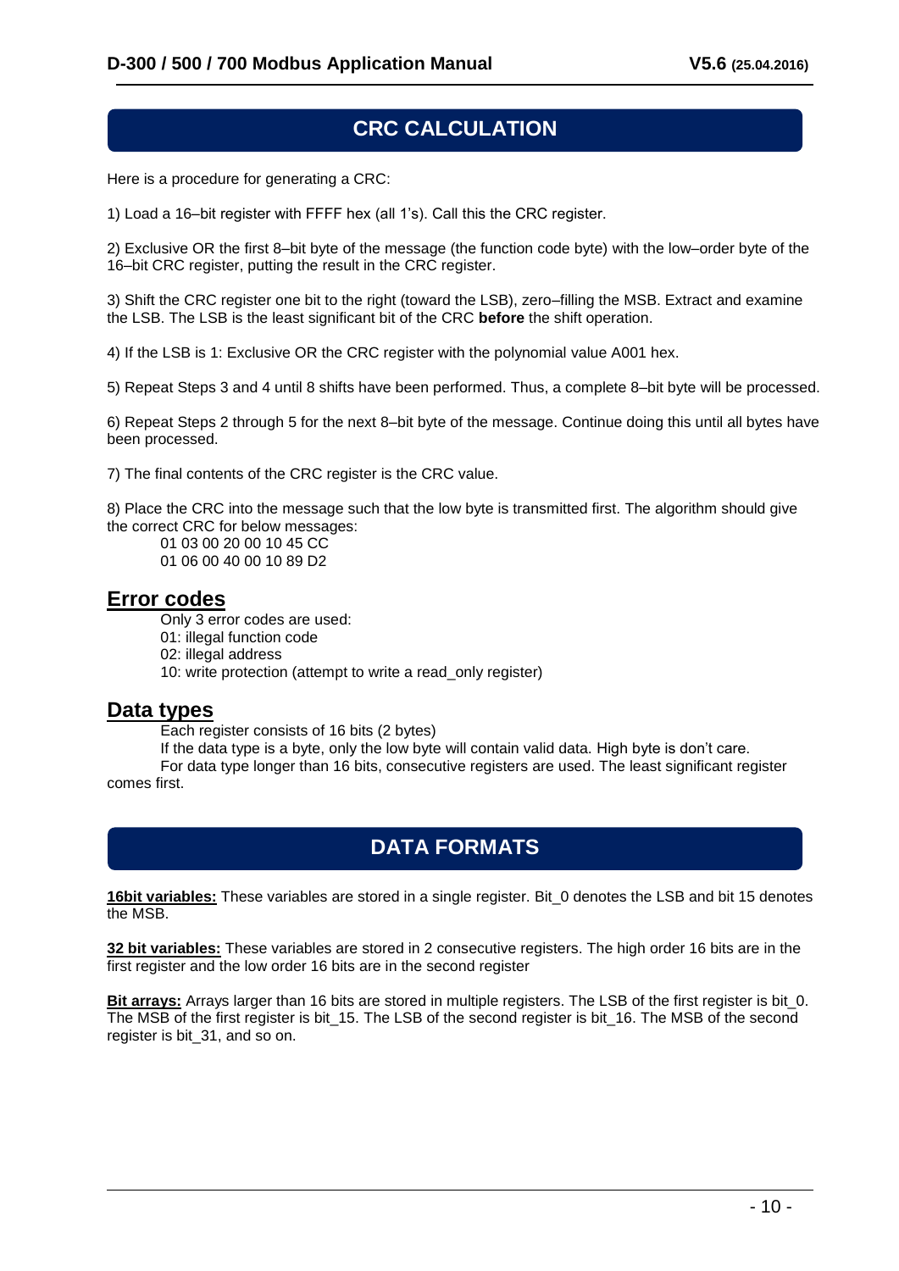## **CRC CALCULATION**

Here is a procedure for generating a CRC:

1) Load a 16–bit register with FFFF hex (all 1's). Call this the CRC register.

2) Exclusive OR the first 8–bit byte of the message (the function code byte) with the low–order byte of the 16–bit CRC register, putting the result in the CRC register.

3) Shift the CRC register one bit to the right (toward the LSB), zero–filling the MSB. Extract and examine the LSB. The LSB is the least significant bit of the CRC **before** the shift operation.

4) If the LSB is 1: Exclusive OR the CRC register with the polynomial value A001 hex.

5) Repeat Steps 3 and 4 until 8 shifts have been performed. Thus, a complete 8–bit byte will be processed.

6) Repeat Steps 2 through 5 for the next 8–bit byte of the message. Continue doing this until all bytes have been processed.

7) The final contents of the CRC register is the CRC value.

8) Place the CRC into the message such that the low byte is transmitted first. The algorithm should give the correct CRC for below messages:

01 03 00 20 00 10 45 CC

01 06 00 40 00 10 89 D2

#### **Error codes**

Only 3 error codes are used:

01: illegal function code

02: illegal address

10: write protection (attempt to write a read only register)

#### **Data types**

Each register consists of 16 bits (2 bytes)

If the data type is a byte, only the low byte will contain valid data. High byte is don't care.

For data type longer than 16 bits, consecutive registers are used. The least significant register comes first.

## **DATA FORMATS**

**16bit variables:** These variables are stored in a single register. Bit\_0 denotes the LSB and bit 15 denotes the MSB.

**32 bit variables:** These variables are stored in 2 consecutive registers. The high order 16 bits are in the first register and the low order 16 bits are in the second register

**Bit arrays:** Arrays larger than 16 bits are stored in multiple registers. The LSB of the first register is bit\_0. The MSB of the first register is bit\_15. The LSB of the second register is bit\_16. The MSB of the second register is bit 31, and so on.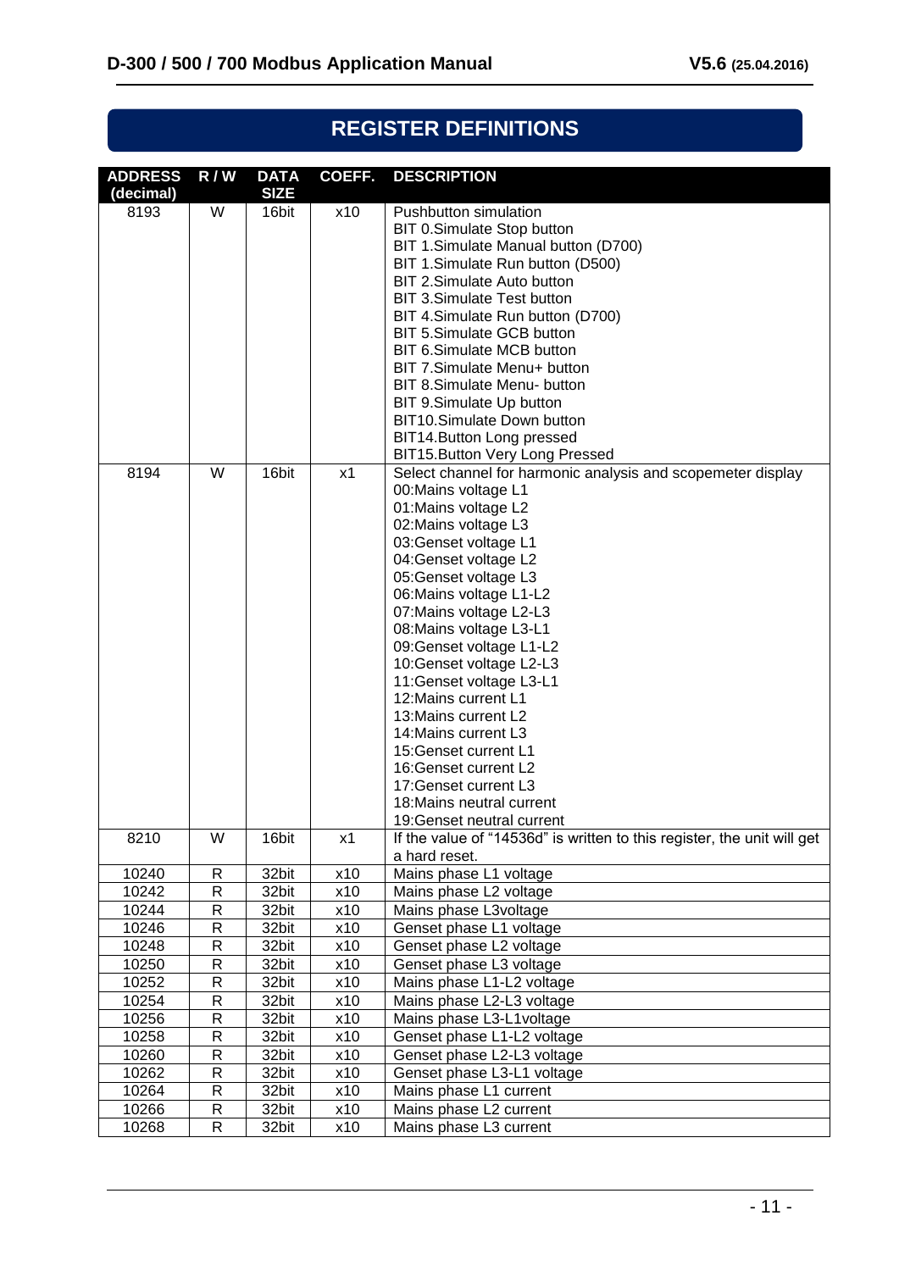| NEUIJIEN DEFINITIUNJ        |     |                            |                   |                                                                                                                                                                                                                                                                                                                                                                                                                                                                                                                                                                                                  |
|-----------------------------|-----|----------------------------|-------------------|--------------------------------------------------------------------------------------------------------------------------------------------------------------------------------------------------------------------------------------------------------------------------------------------------------------------------------------------------------------------------------------------------------------------------------------------------------------------------------------------------------------------------------------------------------------------------------------------------|
| <b>ADDRESS</b><br>(decimal) | R/W | <b>DATA</b><br><b>SIZE</b> | COEFF.            | <b>DESCRIPTION</b>                                                                                                                                                                                                                                                                                                                                                                                                                                                                                                                                                                               |
| 8193                        | W   | 16bit                      | x10               | Pushbutton simulation<br>BIT 0.Simulate Stop button<br>BIT 1.Simulate Manual button (D700)<br>BIT 1.Simulate Run button (D500)<br>BIT 2.Simulate Auto button<br><b>BIT 3.Simulate Test button</b><br>BIT 4. Simulate Run button (D700)<br>BIT 5.Simulate GCB button<br>BIT 6.Simulate MCB button<br>BIT 7.Simulate Menu+ button<br>BIT 8. Simulate Menu- button<br>BIT 9.Simulate Up button<br>BIT10.Simulate Down button<br>BIT14. Button Long pressed<br>BIT15. Button Very Long Pressed                                                                                                       |
| 8194                        | W   | 16bit                      | x1                | Select channel for harmonic analysis and scopemeter display<br>00: Mains voltage L1<br>01: Mains voltage L2<br>02: Mains voltage L3<br>03: Genset voltage L1<br>04: Genset voltage L2<br>05: Genset voltage L3<br>06: Mains voltage L1-L2<br>07: Mains voltage L2-L3<br>08: Mains voltage L3-L1<br>09: Genset voltage L1-L2<br>10: Genset voltage L2-L3<br>11: Genset voltage L3-L1<br>12: Mains current L1<br>13: Mains current L2<br>14: Mains current L3<br>15: Genset current L1<br>16: Genset current L2<br>17: Genset current L3<br>18:Mains neutral current<br>19: Genset neutral current |
| 8210                        | W   | 16bit                      | x1                | If the value of "14536d" is written to this register, the unit will get<br>a hard reset.                                                                                                                                                                                                                                                                                                                                                                                                                                                                                                         |
| 10240                       | R   | 32bit                      | x10               | Mains phase L1 voltage                                                                                                                                                                                                                                                                                                                                                                                                                                                                                                                                                                           |
| 10242                       | R   | 32bit                      | x10               | Mains phase L2 voltage                                                                                                                                                                                                                                                                                                                                                                                                                                                                                                                                                                           |
| 10244                       | R   | 32bit                      | $\overline{x}$ 10 | Mains phase L3voltage                                                                                                                                                                                                                                                                                                                                                                                                                                                                                                                                                                            |
| 10246                       | R   | 32bit                      | x10               | Genset phase L1 voltage                                                                                                                                                                                                                                                                                                                                                                                                                                                                                                                                                                          |
| 10248                       | R   | 32bit                      | x10               | Genset phase L2 voltage                                                                                                                                                                                                                                                                                                                                                                                                                                                                                                                                                                          |
| 10250                       | R   | 32bit                      | x10               | Genset phase L3 voltage                                                                                                                                                                                                                                                                                                                                                                                                                                                                                                                                                                          |
| 10252                       | R   | 32bit                      | x10               | Mains phase L1-L2 voltage                                                                                                                                                                                                                                                                                                                                                                                                                                                                                                                                                                        |
| 10254                       | R   | 32bit                      | x10               | Mains phase L2-L3 voltage                                                                                                                                                                                                                                                                                                                                                                                                                                                                                                                                                                        |
| 10256                       | R   | 32bit                      | x10               | Mains phase L3-L1voltage                                                                                                                                                                                                                                                                                                                                                                                                                                                                                                                                                                         |
| 10258                       | R   | 32bit                      | x10               | Genset phase L1-L2 voltage                                                                                                                                                                                                                                                                                                                                                                                                                                                                                                                                                                       |
| 10260                       | R   | 32bit                      | x10               | Genset phase L2-L3 voltage                                                                                                                                                                                                                                                                                                                                                                                                                                                                                                                                                                       |
| 10262                       | R   | 32bit                      | x10               | Genset phase L3-L1 voltage                                                                                                                                                                                                                                                                                                                                                                                                                                                                                                                                                                       |
| 10264                       | R   | 32bit                      | x10               | Mains phase L1 current                                                                                                                                                                                                                                                                                                                                                                                                                                                                                                                                                                           |
| 10266                       | R   | 32bit                      | x10               | Mains phase L2 current                                                                                                                                                                                                                                                                                                                                                                                                                                                                                                                                                                           |
| 10268                       | R   | 32bit                      | x10               | Mains phase L3 current                                                                                                                                                                                                                                                                                                                                                                                                                                                                                                                                                                           |
|                             |     |                            |                   |                                                                                                                                                                                                                                                                                                                                                                                                                                                                                                                                                                                                  |

# **REGISTER DEFINITIONS**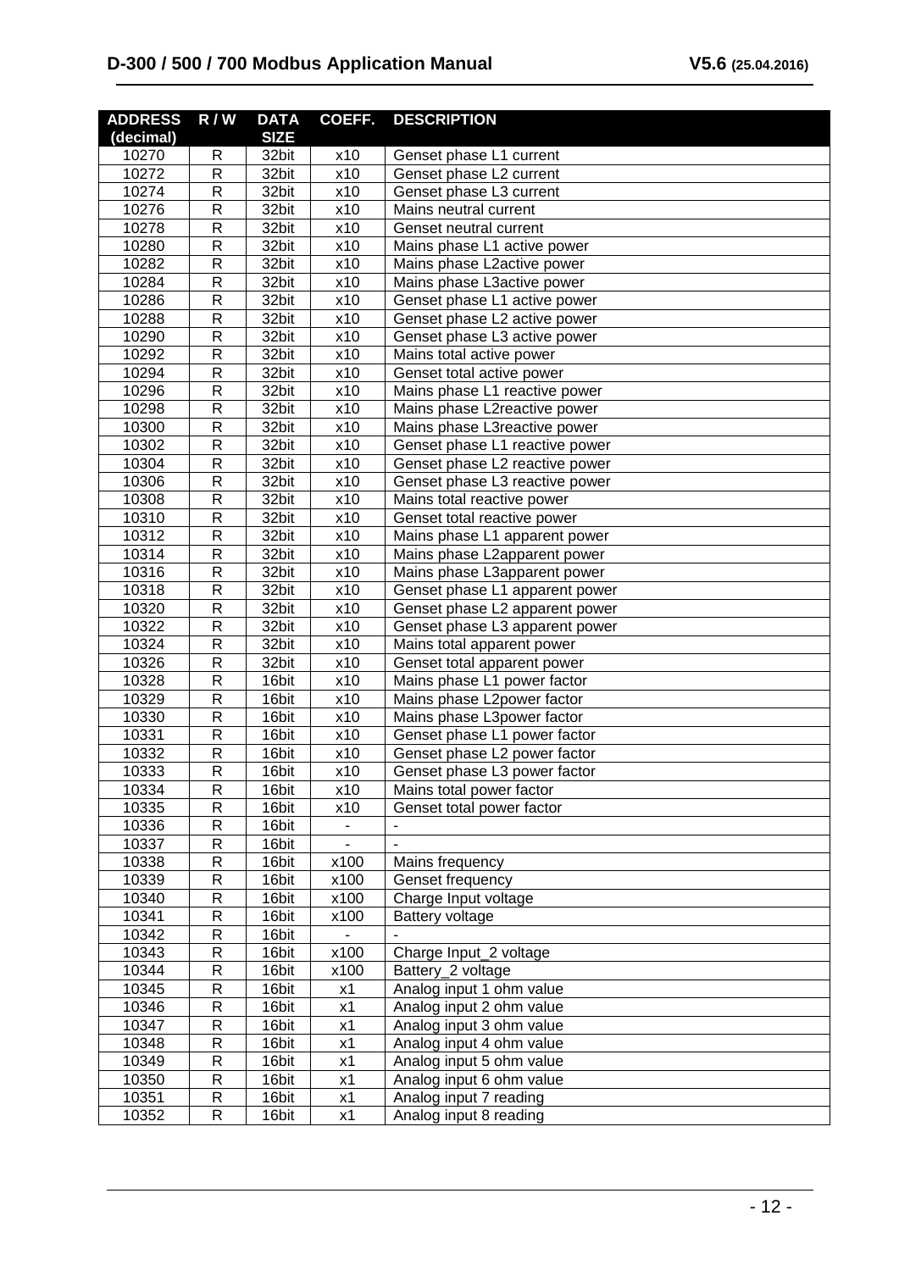# **D-300 / 500 / 700 Modbus Application Manual V5.6 (25.04.2016)**

| <b>ADDRESS</b> | R/W            | <b>DATA</b> | COEFF.                       | <b>DESCRIPTION</b>             |
|----------------|----------------|-------------|------------------------------|--------------------------------|
| (decimal)      |                | <b>SIZE</b> |                              |                                |
| 10270          | R              | 32bit       | x10                          | Genset phase L1 current        |
| 10272          | $\mathsf{R}$   | 32bit       | x10                          | Genset phase L2 current        |
| 10274          | $\mathsf{R}$   | 32bit       | x10                          | Genset phase L3 current        |
| 10276          | $\mathsf{R}$   | 32bit       | x10                          | Mains neutral current          |
| 10278          | $\mathsf{R}$   | 32bit       | x10                          | Genset neutral current         |
| 10280          | $\mathsf{R}$   | 32bit       | x10                          | Mains phase L1 active power    |
| 10282          | R              | 32bit       | x10                          | Mains phase L2active power     |
| 10284          | $\mathsf{R}$   | 32bit       | x10                          | Mains phase L3active power     |
| 10286          | $\mathsf{R}$   | 32bit       | x10                          | Genset phase L1 active power   |
| 10288          | $\mathsf{R}$   | 32bit       | x10                          | Genset phase L2 active power   |
| 10290          | $\mathsf{R}$   | 32bit       | x10                          | Genset phase L3 active power   |
| 10292          | $\mathsf{R}$   | 32bit       | x10                          | Mains total active power       |
| 10294          | $\mathsf{R}$   | 32bit       | x10                          | Genset total active power      |
| 10296          | $\mathsf{R}$   | 32bit       | x10                          | Mains phase L1 reactive power  |
| 10298          | $\mathsf{R}$   | 32bit       | x10                          | Mains phase L2reactive power   |
| 10300          | R              | 32bit       | x10                          | Mains phase L3reactive power   |
| 10302          | $\mathsf{R}$   | 32bit       | x10                          | Genset phase L1 reactive power |
| 10304          | $\mathsf{R}$   | 32bit       | x10                          | Genset phase L2 reactive power |
| 10306          | $\mathsf{R}$   | 32bit       | x10                          | Genset phase L3 reactive power |
| 10308          | $\mathsf{R}$   | 32bit       | x10                          | Mains total reactive power     |
| 10310          | $\mathsf{R}$   | 32bit       | x10                          | Genset total reactive power    |
| 10312          | $\mathsf{R}$   | 32bit       | x10                          | Mains phase L1 apparent power  |
| 10314          | $\mathsf{R}$   | 32bit       | x10                          | Mains phase L2apparent power   |
| 10316          | $\mathsf{R}$   | 32bit       | x10                          | Mains phase L3apparent power   |
| 10318          | $\mathsf{R}$   | 32bit       | x10                          | Genset phase L1 apparent power |
| 10320          | $\mathsf{R}$   | 32bit       | x10                          | Genset phase L2 apparent power |
| 10322          | R              | 32bit       | x10                          | Genset phase L3 apparent power |
| 10324          | $\mathsf{R}$   | 32bit       | x10                          | Mains total apparent power     |
| 10326          | $\mathsf{R}$   | 32bit       | x10                          | Genset total apparent power    |
| 10328          | $\mathsf{R}$   | 16bit       | x10                          | Mains phase L1 power factor    |
| 10329          | $\mathsf{R}$   | 16bit       | x10                          | Mains phase L2power factor     |
| 10330          | $\mathsf{R}$   | 16bit       | x10                          | Mains phase L3power factor     |
| 10331          | $\mathsf{R}$   | 16bit       | x10                          | Genset phase L1 power factor   |
| 10332          | $\mathsf R$    | 16bit       | x10                          | Genset phase L2 power factor   |
| 10333          | R              | 16bit       | x10                          | Genset phase L3 power factor   |
| 10334          | $\mathsf{R}$   | 16bit       | x10                          | Mains total power factor       |
| 10335          | $\overline{R}$ | 16bit       | x10                          | Genset total power factor      |
| 10336          | $\mathsf{R}$   | 16bit       | $\blacksquare$               |                                |
| 10337          | $\overline{R}$ | 16bit       | $\qquad \qquad \blacksquare$ |                                |
| 10338          | $\mathsf{R}$   | 16bit       | x100                         | Mains frequency                |
| 10339          | $\mathsf{R}$   | 16bit       | x100                         | Genset frequency               |
| 10340          | $\mathsf{R}$   | 16bit       | x100                         | Charge Input voltage           |
| 10341          | $\mathsf{R}$   | 16bit       | x100                         | Battery voltage                |
| 10342          | $\mathsf{R}$   | 16bit       |                              |                                |
| 10343          | $\mathsf{R}$   | 16bit       | x100                         | Charge Input_2 voltage         |
| 10344          | $\overline{R}$ | 16bit       | x100                         | Battery_2 voltage              |
| 10345          | $\mathsf{R}$   | 16bit       | x1                           | Analog input 1 ohm value       |
| 10346          | $\overline{R}$ | 16bit       | x1                           | Analog input 2 ohm value       |
| 10347          | $\mathsf{R}$   | 16bit       | x1                           | Analog input 3 ohm value       |
| 10348          | $\overline{R}$ | 16bit       | x1                           | Analog input 4 ohm value       |
| 10349          | $\mathsf{R}$   | 16bit       | x1                           | Analog input 5 ohm value       |
| 10350          | $\mathsf{R}$   | 16bit       | x1                           | Analog input 6 ohm value       |
| 10351          | ${\sf R}$      | 16bit       | x1                           | Analog input 7 reading         |
| 10352          | $\mathsf R$    | 16bit       | x1                           | Analog input 8 reading         |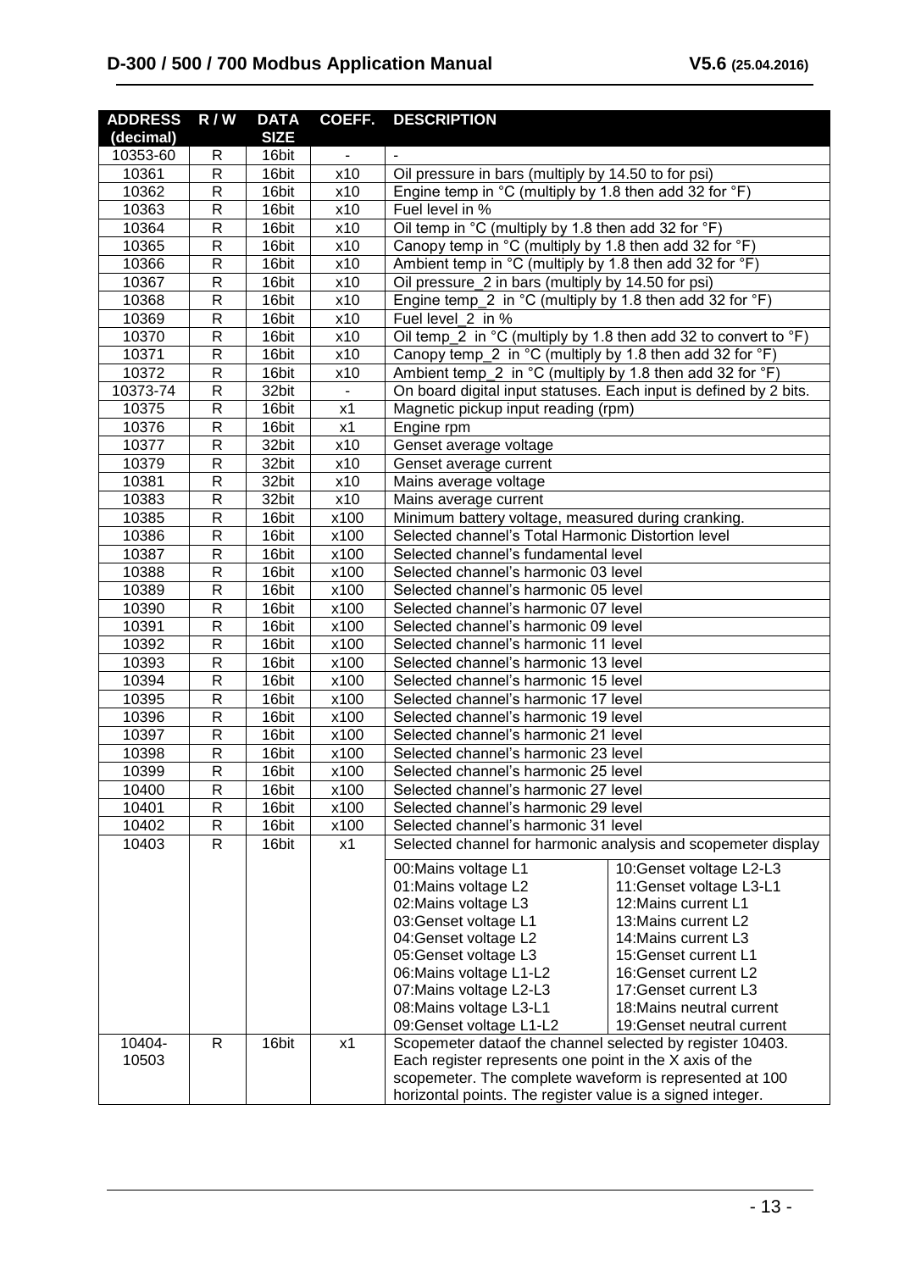| <b>ADDRESS</b> | R/W         | <b>DATA</b>    | COEFF.       | <b>DESCRIPTION</b>                                                                                                 |                                                               |
|----------------|-------------|----------------|--------------|--------------------------------------------------------------------------------------------------------------------|---------------------------------------------------------------|
| (decimal)      |             | <b>SIZE</b>    |              |                                                                                                                    |                                                               |
| 10353-60       | R           | 16bit          | -            |                                                                                                                    |                                                               |
| 10361          | R           | 16bit          | x10          | Oil pressure in bars (multiply by 14.50 to for psi)                                                                |                                                               |
| 10362          | R           | 16bit          | x10          | Engine temp in ${}^{\circ}$ C (multiply by 1.8 then add 32 for ${}^{\circ}$ F)                                     |                                                               |
| 10363          | R           | 16bit          | x10          | Fuel level in %                                                                                                    |                                                               |
| 10364          | $\mathsf R$ | 16bit          | x10          | Oil temp in °C (multiply by 1.8 then add 32 for °F)                                                                |                                                               |
| 10365          | R           | 16bit          | x10          | Canopy temp in °C (multiply by 1.8 then add 32 for °F)                                                             |                                                               |
| 10366          | $\mathsf R$ | 16bit          | x10          | Ambient temp in $^{\circ}$ C (multiply by 1.8 then add 32 for $^{\circ}$ F)                                        |                                                               |
| 10367          | R           | 16bit          | x10          | Oil pressure_2 in bars (multiply by 14.50 for psi)                                                                 |                                                               |
| 10368          | $\mathsf R$ | 16bit          | x10          | Engine temp_2 in $^{\circ}$ C (multiply by 1.8 then add 32 for $^{\circ}$ F)                                       |                                                               |
| 10369          | R           | 16bit          | x10          | Fuel level 2 in %                                                                                                  |                                                               |
| 10370          | $\mathsf R$ | 16bit          | x10          | Oil temp_2 in $^{\circ}$ C (multiply by 1.8 then add 32 to convert to $^{\circ}$ F)                                |                                                               |
| 10371          | R           | 16bit          | x10          | Canopy temp $2$ in $^{\circ}$ C (multiply by 1.8 then add 32 for $^{\circ}$ F)                                     |                                                               |
| 10372          | R           | 16bit          | x10          | Ambient temp_2 in $^{\circ}$ C (multiply by 1.8 then add 32 for $^{\circ}$ F)                                      |                                                               |
| 10373-74       | R           | 32bit          |              | On board digital input statuses. Each input is defined by 2 bits.                                                  |                                                               |
| 10375          | R           | 16bit          | x1           | Magnetic pickup input reading (rpm)                                                                                |                                                               |
| 10376          | R           | 16bit          | x1           | Engine rpm                                                                                                         |                                                               |
| 10377          | R           | 32bit          | x10          | Genset average voltage                                                                                             |                                                               |
| 10379          | R           | 32bit          | x10          | Genset average current                                                                                             |                                                               |
| 10381          | R           | 32bit          | x10          | Mains average voltage                                                                                              |                                                               |
| 10383          | R           | 32bit          | x10          | Mains average current                                                                                              |                                                               |
| 10385<br>10386 | R           | 16bit<br>16bit | x100         | Minimum battery voltage, measured during cranking.                                                                 |                                                               |
| 10387          | R<br>R      | 16bit          | x100<br>x100 | Selected channel's Total Harmonic Distortion level<br>Selected channel's fundamental level                         |                                                               |
| 10388          | R           | 16bit          | x100         | Selected channel's harmonic 03 level                                                                               |                                                               |
| 10389          | R           | 16bit          | x100         | Selected channel's harmonic 05 level                                                                               |                                                               |
| 10390          | R           | 16bit          | x100         | Selected channel's harmonic 07 level                                                                               |                                                               |
| 10391          | R           | 16bit          | x100         | Selected channel's harmonic 09 level                                                                               |                                                               |
| 10392          | R           | 16bit          | x100         | Selected channel's harmonic 11 level                                                                               |                                                               |
| 10393          | R           | 16bit          | x100         | Selected channel's harmonic 13 level                                                                               |                                                               |
| 10394          | R           | 16bit          | x100         | Selected channel's harmonic 15 level                                                                               |                                                               |
| 10395          | R           | 16bit          | x100         | Selected channel's harmonic 17 level                                                                               |                                                               |
| 10396          | R           | 16bit          | x100         | Selected channel's harmonic 19 level                                                                               |                                                               |
| 10397          | R           | 16bit          | x100         | Selected channel's harmonic 21 level                                                                               |                                                               |
| 10398          | R           | 16bit          | x100         | Selected channel's harmonic 23 level                                                                               |                                                               |
| 10399          | R           | 16bit          | x100         | Selected channel's harmonic 25 level                                                                               |                                                               |
| 10400          | R           | 16bit          | x100         | Selected channel's harmonic 27 level                                                                               |                                                               |
| 10401          | R           | 16bit          | x100         | Selected channel's harmonic 29 level                                                                               |                                                               |
| 10402          | R           | 16bit          | x100         | Selected channel's harmonic 31 level                                                                               |                                                               |
| 10403          | R           | 16bit          | x1           |                                                                                                                    | Selected channel for harmonic analysis and scopemeter display |
|                |             |                |              | 00: Mains voltage L1                                                                                               | 10: Genset voltage L2-L3                                      |
|                |             |                |              | 01: Mains voltage L2                                                                                               | 11: Genset voltage L3-L1                                      |
|                |             |                |              | 02: Mains voltage L3                                                                                               | 12: Mains current L1                                          |
|                |             |                |              | 03: Genset voltage L1                                                                                              | 13: Mains current L2                                          |
|                |             |                |              | 04: Genset voltage L2                                                                                              | 14: Mains current L3                                          |
|                |             |                |              | 05: Genset voltage L3                                                                                              | 15: Genset current L1                                         |
|                |             |                |              | 06: Mains voltage L1-L2                                                                                            | 16: Genset current L2                                         |
|                |             |                |              | 07: Mains voltage L2-L3                                                                                            | 17: Genset current L3                                         |
|                |             |                |              | 08: Mains voltage L3-L1                                                                                            | 18: Mains neutral current                                     |
|                |             |                |              | 09: Genset voltage L1-L2                                                                                           | 19: Genset neutral current                                    |
| 10404-         | R           | 16bit          | x1           | Scopemeter dataof the channel selected by register 10403.                                                          |                                                               |
| 10503          |             |                |              | Each register represents one point in the X axis of the<br>scopemeter. The complete waveform is represented at 100 |                                                               |
|                |             |                |              | horizontal points. The register value is a signed integer.                                                         |                                                               |
|                |             |                |              |                                                                                                                    |                                                               |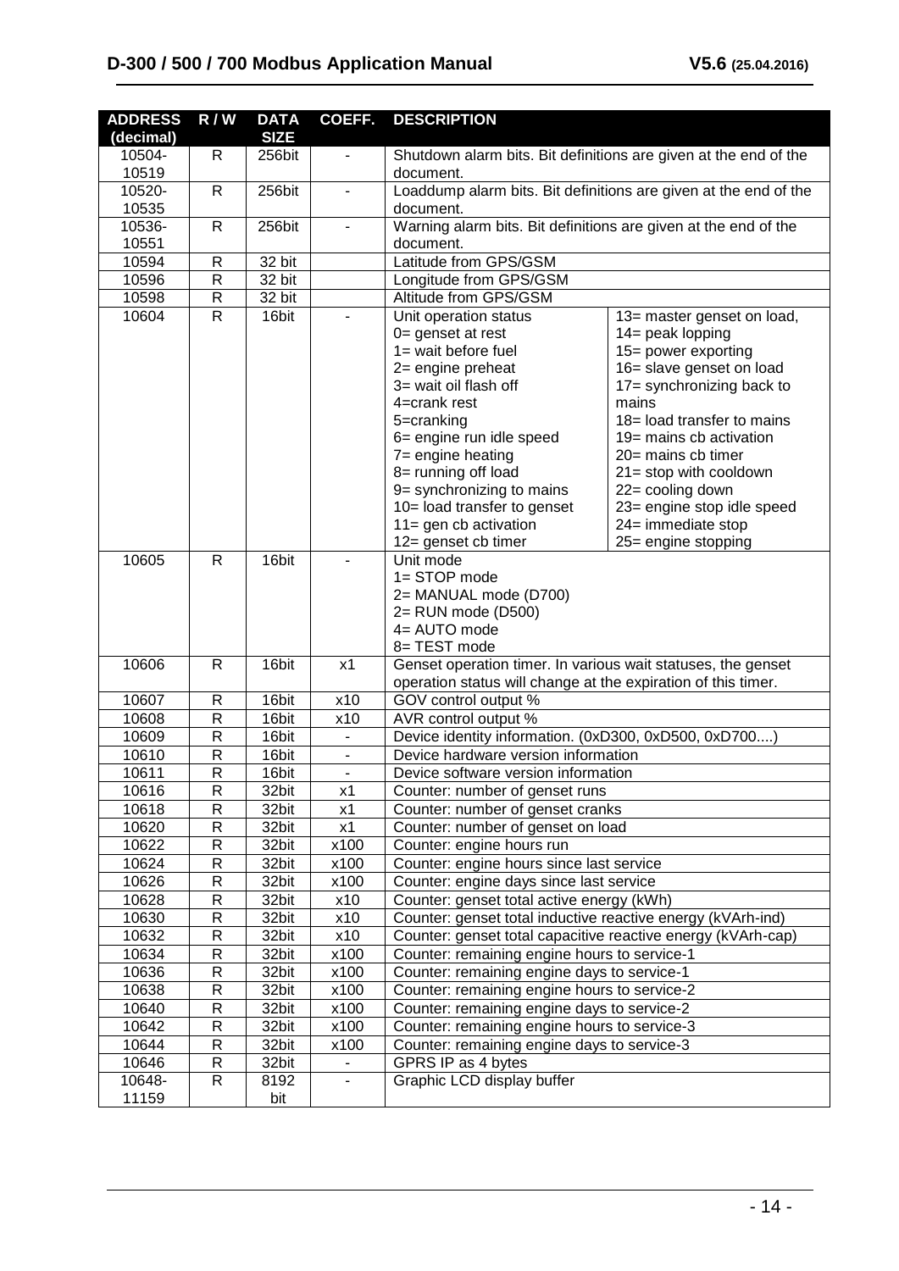| <b>SIZE</b><br>(decimal)<br>10504-<br>R<br>256bit<br>Shutdown alarm bits. Bit definitions are given at the end of the<br>$\overline{\phantom{a}}$<br>10519<br>document.<br>Loaddump alarm bits. Bit definitions are given at the end of the<br>10520-<br>$\mathsf{R}$<br>256bit<br>$\overline{\phantom{0}}$<br>10535<br>document.<br>Warning alarm bits. Bit definitions are given at the end of the<br>10536-<br>$\mathsf{R}$<br>256bit<br>10551<br>document.<br>Latitude from GPS/GSM<br>10594<br>$\mathsf{R}$<br>32 bit<br>10596<br>$\mathsf{R}$<br>32 bit<br>Longitude from GPS/GSM<br>10598<br>$\mathsf{R}$<br>32 bit<br>Altitude from GPS/GSM<br>10604<br>$\mathsf{R}$<br>16bit<br>Unit operation status<br>13= master genset on load,<br>$0 =$ genset at rest<br>14= peak lopping<br>1= wait before fuel<br>15= power exporting<br>16= slave genset on load<br>2= engine preheat<br>3= wait oil flash off<br>17= synchronizing back to<br>mains<br>4=crank rest<br>18 = load transfer to mains<br>5=cranking<br>6= engine run idle speed<br>19 = mains cb activation<br>7= engine heating<br>20= mains cb timer<br>8= running off load<br>21= stop with cooldown<br>9= synchronizing to mains<br>22= cooling down<br>10= load transfer to genset<br>23= engine stop idle speed<br>$11 =$ gen cb activation<br>24= immediate stop<br>12= genset cb timer<br>25= engine stopping<br>10605<br>16bit<br>$\mathsf{R}$<br>Unit mode<br>1= STOP mode<br>2= MANUAL mode (D700)<br>2= RUN mode (D500)<br>4= AUTO mode<br>8= TEST mode<br>10606<br>16bit<br>Genset operation timer. In various wait statuses, the genset<br>$\mathsf{R}$<br>x1<br>operation status will change at the expiration of this timer.<br>10607<br>16bit<br>x10<br>GOV control output %<br>R<br>16bit<br>x10<br>AVR control output %<br>10608<br>R<br>16bit<br>Device identity information. (0xD300, 0xD500, 0xD700)<br>10609<br>R<br>$\blacksquare$<br>16bit<br>Device hardware version information<br>10610<br>R<br>$\overline{\phantom{a}}$<br>16bit<br>10611<br>R<br>Device software version information<br>$\overline{\phantom{a}}$<br>10616<br>R<br>32bit<br>x1<br>Counter: number of genset runs<br>R<br>10618<br>32bit<br>x1<br>Counter: number of genset cranks<br>10620<br>R<br>32bit<br>Counter: number of genset on load<br>x1<br>10622<br>R<br>x100<br>32bit<br>Counter: engine hours run<br>10624<br>R<br>x100<br>Counter: engine hours since last service<br>32bit<br>10626<br>R<br>32bit<br>x100<br>Counter: engine days since last service<br>10628<br>R<br>x10<br>Counter: genset total active energy (kWh)<br>32bit<br>10630<br>R<br>32bit<br>x10<br>Counter: genset total inductive reactive energy (kVArh-ind)<br>10632<br>R<br>x10<br>Counter: genset total capacitive reactive energy (kVArh-cap)<br>32bit<br>10634<br>R<br>32bit<br>x100<br>Counter: remaining engine hours to service-1<br>10636<br>R<br>32bit<br>x100<br>Counter: remaining engine days to service-1<br>10638<br>R<br>x100<br>Counter: remaining engine hours to service-2<br>32bit<br>10640<br>R<br>32bit<br>x100<br>Counter: remaining engine days to service-2<br>10642<br>R<br>x100<br>Counter: remaining engine hours to service-3<br>32bit<br>10644<br>R<br>32bit<br>x100<br>Counter: remaining engine days to service-3 | <b>ADDRESS</b> | R/W | <b>DATA</b> | COEFF. | <b>DESCRIPTION</b> |  |
|------------------------------------------------------------------------------------------------------------------------------------------------------------------------------------------------------------------------------------------------------------------------------------------------------------------------------------------------------------------------------------------------------------------------------------------------------------------------------------------------------------------------------------------------------------------------------------------------------------------------------------------------------------------------------------------------------------------------------------------------------------------------------------------------------------------------------------------------------------------------------------------------------------------------------------------------------------------------------------------------------------------------------------------------------------------------------------------------------------------------------------------------------------------------------------------------------------------------------------------------------------------------------------------------------------------------------------------------------------------------------------------------------------------------------------------------------------------------------------------------------------------------------------------------------------------------------------------------------------------------------------------------------------------------------------------------------------------------------------------------------------------------------------------------------------------------------------------------------------------------------------------------------------------------------------------------------------------------------------------------------------------------------------------------------------------------------------------------------------------------------------------------------------------------------------------------------------------------------------------------------------------------------------------------------------------------------------------------------------------------------------------------------------------------------------------------------------------------------------------------------------------------------------------------------------------------------------------------------------------------------------------------------------------------------------------------------------------------------------------------------------------------------------------------------------------------------------------------------------------------------------------------------------------------------------------------------------------------------------------------------------------------------------------------------------------------------------------------------------------------------------------------------------------------------------------------------------------------------------------------------------------------------------------------|----------------|-----|-------------|--------|--------------------|--|
|                                                                                                                                                                                                                                                                                                                                                                                                                                                                                                                                                                                                                                                                                                                                                                                                                                                                                                                                                                                                                                                                                                                                                                                                                                                                                                                                                                                                                                                                                                                                                                                                                                                                                                                                                                                                                                                                                                                                                                                                                                                                                                                                                                                                                                                                                                                                                                                                                                                                                                                                                                                                                                                                                                                                                                                                                                                                                                                                                                                                                                                                                                                                                                                                                                                                                                |                |     |             |        |                    |  |
|                                                                                                                                                                                                                                                                                                                                                                                                                                                                                                                                                                                                                                                                                                                                                                                                                                                                                                                                                                                                                                                                                                                                                                                                                                                                                                                                                                                                                                                                                                                                                                                                                                                                                                                                                                                                                                                                                                                                                                                                                                                                                                                                                                                                                                                                                                                                                                                                                                                                                                                                                                                                                                                                                                                                                                                                                                                                                                                                                                                                                                                                                                                                                                                                                                                                                                |                |     |             |        |                    |  |
|                                                                                                                                                                                                                                                                                                                                                                                                                                                                                                                                                                                                                                                                                                                                                                                                                                                                                                                                                                                                                                                                                                                                                                                                                                                                                                                                                                                                                                                                                                                                                                                                                                                                                                                                                                                                                                                                                                                                                                                                                                                                                                                                                                                                                                                                                                                                                                                                                                                                                                                                                                                                                                                                                                                                                                                                                                                                                                                                                                                                                                                                                                                                                                                                                                                                                                |                |     |             |        |                    |  |
|                                                                                                                                                                                                                                                                                                                                                                                                                                                                                                                                                                                                                                                                                                                                                                                                                                                                                                                                                                                                                                                                                                                                                                                                                                                                                                                                                                                                                                                                                                                                                                                                                                                                                                                                                                                                                                                                                                                                                                                                                                                                                                                                                                                                                                                                                                                                                                                                                                                                                                                                                                                                                                                                                                                                                                                                                                                                                                                                                                                                                                                                                                                                                                                                                                                                                                |                |     |             |        |                    |  |
|                                                                                                                                                                                                                                                                                                                                                                                                                                                                                                                                                                                                                                                                                                                                                                                                                                                                                                                                                                                                                                                                                                                                                                                                                                                                                                                                                                                                                                                                                                                                                                                                                                                                                                                                                                                                                                                                                                                                                                                                                                                                                                                                                                                                                                                                                                                                                                                                                                                                                                                                                                                                                                                                                                                                                                                                                                                                                                                                                                                                                                                                                                                                                                                                                                                                                                |                |     |             |        |                    |  |
|                                                                                                                                                                                                                                                                                                                                                                                                                                                                                                                                                                                                                                                                                                                                                                                                                                                                                                                                                                                                                                                                                                                                                                                                                                                                                                                                                                                                                                                                                                                                                                                                                                                                                                                                                                                                                                                                                                                                                                                                                                                                                                                                                                                                                                                                                                                                                                                                                                                                                                                                                                                                                                                                                                                                                                                                                                                                                                                                                                                                                                                                                                                                                                                                                                                                                                |                |     |             |        |                    |  |
|                                                                                                                                                                                                                                                                                                                                                                                                                                                                                                                                                                                                                                                                                                                                                                                                                                                                                                                                                                                                                                                                                                                                                                                                                                                                                                                                                                                                                                                                                                                                                                                                                                                                                                                                                                                                                                                                                                                                                                                                                                                                                                                                                                                                                                                                                                                                                                                                                                                                                                                                                                                                                                                                                                                                                                                                                                                                                                                                                                                                                                                                                                                                                                                                                                                                                                |                |     |             |        |                    |  |
|                                                                                                                                                                                                                                                                                                                                                                                                                                                                                                                                                                                                                                                                                                                                                                                                                                                                                                                                                                                                                                                                                                                                                                                                                                                                                                                                                                                                                                                                                                                                                                                                                                                                                                                                                                                                                                                                                                                                                                                                                                                                                                                                                                                                                                                                                                                                                                                                                                                                                                                                                                                                                                                                                                                                                                                                                                                                                                                                                                                                                                                                                                                                                                                                                                                                                                |                |     |             |        |                    |  |
|                                                                                                                                                                                                                                                                                                                                                                                                                                                                                                                                                                                                                                                                                                                                                                                                                                                                                                                                                                                                                                                                                                                                                                                                                                                                                                                                                                                                                                                                                                                                                                                                                                                                                                                                                                                                                                                                                                                                                                                                                                                                                                                                                                                                                                                                                                                                                                                                                                                                                                                                                                                                                                                                                                                                                                                                                                                                                                                                                                                                                                                                                                                                                                                                                                                                                                |                |     |             |        |                    |  |
|                                                                                                                                                                                                                                                                                                                                                                                                                                                                                                                                                                                                                                                                                                                                                                                                                                                                                                                                                                                                                                                                                                                                                                                                                                                                                                                                                                                                                                                                                                                                                                                                                                                                                                                                                                                                                                                                                                                                                                                                                                                                                                                                                                                                                                                                                                                                                                                                                                                                                                                                                                                                                                                                                                                                                                                                                                                                                                                                                                                                                                                                                                                                                                                                                                                                                                |                |     |             |        |                    |  |
|                                                                                                                                                                                                                                                                                                                                                                                                                                                                                                                                                                                                                                                                                                                                                                                                                                                                                                                                                                                                                                                                                                                                                                                                                                                                                                                                                                                                                                                                                                                                                                                                                                                                                                                                                                                                                                                                                                                                                                                                                                                                                                                                                                                                                                                                                                                                                                                                                                                                                                                                                                                                                                                                                                                                                                                                                                                                                                                                                                                                                                                                                                                                                                                                                                                                                                |                |     |             |        |                    |  |
|                                                                                                                                                                                                                                                                                                                                                                                                                                                                                                                                                                                                                                                                                                                                                                                                                                                                                                                                                                                                                                                                                                                                                                                                                                                                                                                                                                                                                                                                                                                                                                                                                                                                                                                                                                                                                                                                                                                                                                                                                                                                                                                                                                                                                                                                                                                                                                                                                                                                                                                                                                                                                                                                                                                                                                                                                                                                                                                                                                                                                                                                                                                                                                                                                                                                                                |                |     |             |        |                    |  |
|                                                                                                                                                                                                                                                                                                                                                                                                                                                                                                                                                                                                                                                                                                                                                                                                                                                                                                                                                                                                                                                                                                                                                                                                                                                                                                                                                                                                                                                                                                                                                                                                                                                                                                                                                                                                                                                                                                                                                                                                                                                                                                                                                                                                                                                                                                                                                                                                                                                                                                                                                                                                                                                                                                                                                                                                                                                                                                                                                                                                                                                                                                                                                                                                                                                                                                |                |     |             |        |                    |  |
|                                                                                                                                                                                                                                                                                                                                                                                                                                                                                                                                                                                                                                                                                                                                                                                                                                                                                                                                                                                                                                                                                                                                                                                                                                                                                                                                                                                                                                                                                                                                                                                                                                                                                                                                                                                                                                                                                                                                                                                                                                                                                                                                                                                                                                                                                                                                                                                                                                                                                                                                                                                                                                                                                                                                                                                                                                                                                                                                                                                                                                                                                                                                                                                                                                                                                                |                |     |             |        |                    |  |
|                                                                                                                                                                                                                                                                                                                                                                                                                                                                                                                                                                                                                                                                                                                                                                                                                                                                                                                                                                                                                                                                                                                                                                                                                                                                                                                                                                                                                                                                                                                                                                                                                                                                                                                                                                                                                                                                                                                                                                                                                                                                                                                                                                                                                                                                                                                                                                                                                                                                                                                                                                                                                                                                                                                                                                                                                                                                                                                                                                                                                                                                                                                                                                                                                                                                                                |                |     |             |        |                    |  |
|                                                                                                                                                                                                                                                                                                                                                                                                                                                                                                                                                                                                                                                                                                                                                                                                                                                                                                                                                                                                                                                                                                                                                                                                                                                                                                                                                                                                                                                                                                                                                                                                                                                                                                                                                                                                                                                                                                                                                                                                                                                                                                                                                                                                                                                                                                                                                                                                                                                                                                                                                                                                                                                                                                                                                                                                                                                                                                                                                                                                                                                                                                                                                                                                                                                                                                |                |     |             |        |                    |  |
|                                                                                                                                                                                                                                                                                                                                                                                                                                                                                                                                                                                                                                                                                                                                                                                                                                                                                                                                                                                                                                                                                                                                                                                                                                                                                                                                                                                                                                                                                                                                                                                                                                                                                                                                                                                                                                                                                                                                                                                                                                                                                                                                                                                                                                                                                                                                                                                                                                                                                                                                                                                                                                                                                                                                                                                                                                                                                                                                                                                                                                                                                                                                                                                                                                                                                                |                |     |             |        |                    |  |
|                                                                                                                                                                                                                                                                                                                                                                                                                                                                                                                                                                                                                                                                                                                                                                                                                                                                                                                                                                                                                                                                                                                                                                                                                                                                                                                                                                                                                                                                                                                                                                                                                                                                                                                                                                                                                                                                                                                                                                                                                                                                                                                                                                                                                                                                                                                                                                                                                                                                                                                                                                                                                                                                                                                                                                                                                                                                                                                                                                                                                                                                                                                                                                                                                                                                                                |                |     |             |        |                    |  |
|                                                                                                                                                                                                                                                                                                                                                                                                                                                                                                                                                                                                                                                                                                                                                                                                                                                                                                                                                                                                                                                                                                                                                                                                                                                                                                                                                                                                                                                                                                                                                                                                                                                                                                                                                                                                                                                                                                                                                                                                                                                                                                                                                                                                                                                                                                                                                                                                                                                                                                                                                                                                                                                                                                                                                                                                                                                                                                                                                                                                                                                                                                                                                                                                                                                                                                |                |     |             |        |                    |  |
|                                                                                                                                                                                                                                                                                                                                                                                                                                                                                                                                                                                                                                                                                                                                                                                                                                                                                                                                                                                                                                                                                                                                                                                                                                                                                                                                                                                                                                                                                                                                                                                                                                                                                                                                                                                                                                                                                                                                                                                                                                                                                                                                                                                                                                                                                                                                                                                                                                                                                                                                                                                                                                                                                                                                                                                                                                                                                                                                                                                                                                                                                                                                                                                                                                                                                                |                |     |             |        |                    |  |
|                                                                                                                                                                                                                                                                                                                                                                                                                                                                                                                                                                                                                                                                                                                                                                                                                                                                                                                                                                                                                                                                                                                                                                                                                                                                                                                                                                                                                                                                                                                                                                                                                                                                                                                                                                                                                                                                                                                                                                                                                                                                                                                                                                                                                                                                                                                                                                                                                                                                                                                                                                                                                                                                                                                                                                                                                                                                                                                                                                                                                                                                                                                                                                                                                                                                                                |                |     |             |        |                    |  |
|                                                                                                                                                                                                                                                                                                                                                                                                                                                                                                                                                                                                                                                                                                                                                                                                                                                                                                                                                                                                                                                                                                                                                                                                                                                                                                                                                                                                                                                                                                                                                                                                                                                                                                                                                                                                                                                                                                                                                                                                                                                                                                                                                                                                                                                                                                                                                                                                                                                                                                                                                                                                                                                                                                                                                                                                                                                                                                                                                                                                                                                                                                                                                                                                                                                                                                |                |     |             |        |                    |  |
|                                                                                                                                                                                                                                                                                                                                                                                                                                                                                                                                                                                                                                                                                                                                                                                                                                                                                                                                                                                                                                                                                                                                                                                                                                                                                                                                                                                                                                                                                                                                                                                                                                                                                                                                                                                                                                                                                                                                                                                                                                                                                                                                                                                                                                                                                                                                                                                                                                                                                                                                                                                                                                                                                                                                                                                                                                                                                                                                                                                                                                                                                                                                                                                                                                                                                                |                |     |             |        |                    |  |
|                                                                                                                                                                                                                                                                                                                                                                                                                                                                                                                                                                                                                                                                                                                                                                                                                                                                                                                                                                                                                                                                                                                                                                                                                                                                                                                                                                                                                                                                                                                                                                                                                                                                                                                                                                                                                                                                                                                                                                                                                                                                                                                                                                                                                                                                                                                                                                                                                                                                                                                                                                                                                                                                                                                                                                                                                                                                                                                                                                                                                                                                                                                                                                                                                                                                                                |                |     |             |        |                    |  |
|                                                                                                                                                                                                                                                                                                                                                                                                                                                                                                                                                                                                                                                                                                                                                                                                                                                                                                                                                                                                                                                                                                                                                                                                                                                                                                                                                                                                                                                                                                                                                                                                                                                                                                                                                                                                                                                                                                                                                                                                                                                                                                                                                                                                                                                                                                                                                                                                                                                                                                                                                                                                                                                                                                                                                                                                                                                                                                                                                                                                                                                                                                                                                                                                                                                                                                |                |     |             |        |                    |  |
|                                                                                                                                                                                                                                                                                                                                                                                                                                                                                                                                                                                                                                                                                                                                                                                                                                                                                                                                                                                                                                                                                                                                                                                                                                                                                                                                                                                                                                                                                                                                                                                                                                                                                                                                                                                                                                                                                                                                                                                                                                                                                                                                                                                                                                                                                                                                                                                                                                                                                                                                                                                                                                                                                                                                                                                                                                                                                                                                                                                                                                                                                                                                                                                                                                                                                                |                |     |             |        |                    |  |
|                                                                                                                                                                                                                                                                                                                                                                                                                                                                                                                                                                                                                                                                                                                                                                                                                                                                                                                                                                                                                                                                                                                                                                                                                                                                                                                                                                                                                                                                                                                                                                                                                                                                                                                                                                                                                                                                                                                                                                                                                                                                                                                                                                                                                                                                                                                                                                                                                                                                                                                                                                                                                                                                                                                                                                                                                                                                                                                                                                                                                                                                                                                                                                                                                                                                                                |                |     |             |        |                    |  |
|                                                                                                                                                                                                                                                                                                                                                                                                                                                                                                                                                                                                                                                                                                                                                                                                                                                                                                                                                                                                                                                                                                                                                                                                                                                                                                                                                                                                                                                                                                                                                                                                                                                                                                                                                                                                                                                                                                                                                                                                                                                                                                                                                                                                                                                                                                                                                                                                                                                                                                                                                                                                                                                                                                                                                                                                                                                                                                                                                                                                                                                                                                                                                                                                                                                                                                |                |     |             |        |                    |  |
|                                                                                                                                                                                                                                                                                                                                                                                                                                                                                                                                                                                                                                                                                                                                                                                                                                                                                                                                                                                                                                                                                                                                                                                                                                                                                                                                                                                                                                                                                                                                                                                                                                                                                                                                                                                                                                                                                                                                                                                                                                                                                                                                                                                                                                                                                                                                                                                                                                                                                                                                                                                                                                                                                                                                                                                                                                                                                                                                                                                                                                                                                                                                                                                                                                                                                                |                |     |             |        |                    |  |
|                                                                                                                                                                                                                                                                                                                                                                                                                                                                                                                                                                                                                                                                                                                                                                                                                                                                                                                                                                                                                                                                                                                                                                                                                                                                                                                                                                                                                                                                                                                                                                                                                                                                                                                                                                                                                                                                                                                                                                                                                                                                                                                                                                                                                                                                                                                                                                                                                                                                                                                                                                                                                                                                                                                                                                                                                                                                                                                                                                                                                                                                                                                                                                                                                                                                                                |                |     |             |        |                    |  |
|                                                                                                                                                                                                                                                                                                                                                                                                                                                                                                                                                                                                                                                                                                                                                                                                                                                                                                                                                                                                                                                                                                                                                                                                                                                                                                                                                                                                                                                                                                                                                                                                                                                                                                                                                                                                                                                                                                                                                                                                                                                                                                                                                                                                                                                                                                                                                                                                                                                                                                                                                                                                                                                                                                                                                                                                                                                                                                                                                                                                                                                                                                                                                                                                                                                                                                |                |     |             |        |                    |  |
|                                                                                                                                                                                                                                                                                                                                                                                                                                                                                                                                                                                                                                                                                                                                                                                                                                                                                                                                                                                                                                                                                                                                                                                                                                                                                                                                                                                                                                                                                                                                                                                                                                                                                                                                                                                                                                                                                                                                                                                                                                                                                                                                                                                                                                                                                                                                                                                                                                                                                                                                                                                                                                                                                                                                                                                                                                                                                                                                                                                                                                                                                                                                                                                                                                                                                                |                |     |             |        |                    |  |
|                                                                                                                                                                                                                                                                                                                                                                                                                                                                                                                                                                                                                                                                                                                                                                                                                                                                                                                                                                                                                                                                                                                                                                                                                                                                                                                                                                                                                                                                                                                                                                                                                                                                                                                                                                                                                                                                                                                                                                                                                                                                                                                                                                                                                                                                                                                                                                                                                                                                                                                                                                                                                                                                                                                                                                                                                                                                                                                                                                                                                                                                                                                                                                                                                                                                                                |                |     |             |        |                    |  |
|                                                                                                                                                                                                                                                                                                                                                                                                                                                                                                                                                                                                                                                                                                                                                                                                                                                                                                                                                                                                                                                                                                                                                                                                                                                                                                                                                                                                                                                                                                                                                                                                                                                                                                                                                                                                                                                                                                                                                                                                                                                                                                                                                                                                                                                                                                                                                                                                                                                                                                                                                                                                                                                                                                                                                                                                                                                                                                                                                                                                                                                                                                                                                                                                                                                                                                |                |     |             |        |                    |  |
|                                                                                                                                                                                                                                                                                                                                                                                                                                                                                                                                                                                                                                                                                                                                                                                                                                                                                                                                                                                                                                                                                                                                                                                                                                                                                                                                                                                                                                                                                                                                                                                                                                                                                                                                                                                                                                                                                                                                                                                                                                                                                                                                                                                                                                                                                                                                                                                                                                                                                                                                                                                                                                                                                                                                                                                                                                                                                                                                                                                                                                                                                                                                                                                                                                                                                                |                |     |             |        |                    |  |
|                                                                                                                                                                                                                                                                                                                                                                                                                                                                                                                                                                                                                                                                                                                                                                                                                                                                                                                                                                                                                                                                                                                                                                                                                                                                                                                                                                                                                                                                                                                                                                                                                                                                                                                                                                                                                                                                                                                                                                                                                                                                                                                                                                                                                                                                                                                                                                                                                                                                                                                                                                                                                                                                                                                                                                                                                                                                                                                                                                                                                                                                                                                                                                                                                                                                                                |                |     |             |        |                    |  |
|                                                                                                                                                                                                                                                                                                                                                                                                                                                                                                                                                                                                                                                                                                                                                                                                                                                                                                                                                                                                                                                                                                                                                                                                                                                                                                                                                                                                                                                                                                                                                                                                                                                                                                                                                                                                                                                                                                                                                                                                                                                                                                                                                                                                                                                                                                                                                                                                                                                                                                                                                                                                                                                                                                                                                                                                                                                                                                                                                                                                                                                                                                                                                                                                                                                                                                |                |     |             |        |                    |  |
|                                                                                                                                                                                                                                                                                                                                                                                                                                                                                                                                                                                                                                                                                                                                                                                                                                                                                                                                                                                                                                                                                                                                                                                                                                                                                                                                                                                                                                                                                                                                                                                                                                                                                                                                                                                                                                                                                                                                                                                                                                                                                                                                                                                                                                                                                                                                                                                                                                                                                                                                                                                                                                                                                                                                                                                                                                                                                                                                                                                                                                                                                                                                                                                                                                                                                                |                |     |             |        |                    |  |
|                                                                                                                                                                                                                                                                                                                                                                                                                                                                                                                                                                                                                                                                                                                                                                                                                                                                                                                                                                                                                                                                                                                                                                                                                                                                                                                                                                                                                                                                                                                                                                                                                                                                                                                                                                                                                                                                                                                                                                                                                                                                                                                                                                                                                                                                                                                                                                                                                                                                                                                                                                                                                                                                                                                                                                                                                                                                                                                                                                                                                                                                                                                                                                                                                                                                                                |                |     |             |        |                    |  |
|                                                                                                                                                                                                                                                                                                                                                                                                                                                                                                                                                                                                                                                                                                                                                                                                                                                                                                                                                                                                                                                                                                                                                                                                                                                                                                                                                                                                                                                                                                                                                                                                                                                                                                                                                                                                                                                                                                                                                                                                                                                                                                                                                                                                                                                                                                                                                                                                                                                                                                                                                                                                                                                                                                                                                                                                                                                                                                                                                                                                                                                                                                                                                                                                                                                                                                |                |     |             |        |                    |  |
|                                                                                                                                                                                                                                                                                                                                                                                                                                                                                                                                                                                                                                                                                                                                                                                                                                                                                                                                                                                                                                                                                                                                                                                                                                                                                                                                                                                                                                                                                                                                                                                                                                                                                                                                                                                                                                                                                                                                                                                                                                                                                                                                                                                                                                                                                                                                                                                                                                                                                                                                                                                                                                                                                                                                                                                                                                                                                                                                                                                                                                                                                                                                                                                                                                                                                                |                |     |             |        |                    |  |
|                                                                                                                                                                                                                                                                                                                                                                                                                                                                                                                                                                                                                                                                                                                                                                                                                                                                                                                                                                                                                                                                                                                                                                                                                                                                                                                                                                                                                                                                                                                                                                                                                                                                                                                                                                                                                                                                                                                                                                                                                                                                                                                                                                                                                                                                                                                                                                                                                                                                                                                                                                                                                                                                                                                                                                                                                                                                                                                                                                                                                                                                                                                                                                                                                                                                                                |                |     |             |        |                    |  |
|                                                                                                                                                                                                                                                                                                                                                                                                                                                                                                                                                                                                                                                                                                                                                                                                                                                                                                                                                                                                                                                                                                                                                                                                                                                                                                                                                                                                                                                                                                                                                                                                                                                                                                                                                                                                                                                                                                                                                                                                                                                                                                                                                                                                                                                                                                                                                                                                                                                                                                                                                                                                                                                                                                                                                                                                                                                                                                                                                                                                                                                                                                                                                                                                                                                                                                |                |     |             |        |                    |  |
|                                                                                                                                                                                                                                                                                                                                                                                                                                                                                                                                                                                                                                                                                                                                                                                                                                                                                                                                                                                                                                                                                                                                                                                                                                                                                                                                                                                                                                                                                                                                                                                                                                                                                                                                                                                                                                                                                                                                                                                                                                                                                                                                                                                                                                                                                                                                                                                                                                                                                                                                                                                                                                                                                                                                                                                                                                                                                                                                                                                                                                                                                                                                                                                                                                                                                                |                |     |             |        |                    |  |
|                                                                                                                                                                                                                                                                                                                                                                                                                                                                                                                                                                                                                                                                                                                                                                                                                                                                                                                                                                                                                                                                                                                                                                                                                                                                                                                                                                                                                                                                                                                                                                                                                                                                                                                                                                                                                                                                                                                                                                                                                                                                                                                                                                                                                                                                                                                                                                                                                                                                                                                                                                                                                                                                                                                                                                                                                                                                                                                                                                                                                                                                                                                                                                                                                                                                                                |                |     |             |        |                    |  |
|                                                                                                                                                                                                                                                                                                                                                                                                                                                                                                                                                                                                                                                                                                                                                                                                                                                                                                                                                                                                                                                                                                                                                                                                                                                                                                                                                                                                                                                                                                                                                                                                                                                                                                                                                                                                                                                                                                                                                                                                                                                                                                                                                                                                                                                                                                                                                                                                                                                                                                                                                                                                                                                                                                                                                                                                                                                                                                                                                                                                                                                                                                                                                                                                                                                                                                |                |     |             |        |                    |  |
|                                                                                                                                                                                                                                                                                                                                                                                                                                                                                                                                                                                                                                                                                                                                                                                                                                                                                                                                                                                                                                                                                                                                                                                                                                                                                                                                                                                                                                                                                                                                                                                                                                                                                                                                                                                                                                                                                                                                                                                                                                                                                                                                                                                                                                                                                                                                                                                                                                                                                                                                                                                                                                                                                                                                                                                                                                                                                                                                                                                                                                                                                                                                                                                                                                                                                                |                |     |             |        |                    |  |
|                                                                                                                                                                                                                                                                                                                                                                                                                                                                                                                                                                                                                                                                                                                                                                                                                                                                                                                                                                                                                                                                                                                                                                                                                                                                                                                                                                                                                                                                                                                                                                                                                                                                                                                                                                                                                                                                                                                                                                                                                                                                                                                                                                                                                                                                                                                                                                                                                                                                                                                                                                                                                                                                                                                                                                                                                                                                                                                                                                                                                                                                                                                                                                                                                                                                                                |                |     |             |        |                    |  |
|                                                                                                                                                                                                                                                                                                                                                                                                                                                                                                                                                                                                                                                                                                                                                                                                                                                                                                                                                                                                                                                                                                                                                                                                                                                                                                                                                                                                                                                                                                                                                                                                                                                                                                                                                                                                                                                                                                                                                                                                                                                                                                                                                                                                                                                                                                                                                                                                                                                                                                                                                                                                                                                                                                                                                                                                                                                                                                                                                                                                                                                                                                                                                                                                                                                                                                |                |     |             |        |                    |  |
|                                                                                                                                                                                                                                                                                                                                                                                                                                                                                                                                                                                                                                                                                                                                                                                                                                                                                                                                                                                                                                                                                                                                                                                                                                                                                                                                                                                                                                                                                                                                                                                                                                                                                                                                                                                                                                                                                                                                                                                                                                                                                                                                                                                                                                                                                                                                                                                                                                                                                                                                                                                                                                                                                                                                                                                                                                                                                                                                                                                                                                                                                                                                                                                                                                                                                                |                |     |             |        |                    |  |
| GPRS IP as 4 bytes<br>10646<br>R<br>32bit                                                                                                                                                                                                                                                                                                                                                                                                                                                                                                                                                                                                                                                                                                                                                                                                                                                                                                                                                                                                                                                                                                                                                                                                                                                                                                                                                                                                                                                                                                                                                                                                                                                                                                                                                                                                                                                                                                                                                                                                                                                                                                                                                                                                                                                                                                                                                                                                                                                                                                                                                                                                                                                                                                                                                                                                                                                                                                                                                                                                                                                                                                                                                                                                                                                      |                |     |             |        |                    |  |
| $\qquad \qquad \blacksquare$<br>10648-<br>R<br>Graphic LCD display buffer<br>8192                                                                                                                                                                                                                                                                                                                                                                                                                                                                                                                                                                                                                                                                                                                                                                                                                                                                                                                                                                                                                                                                                                                                                                                                                                                                                                                                                                                                                                                                                                                                                                                                                                                                                                                                                                                                                                                                                                                                                                                                                                                                                                                                                                                                                                                                                                                                                                                                                                                                                                                                                                                                                                                                                                                                                                                                                                                                                                                                                                                                                                                                                                                                                                                                              |                |     |             |        |                    |  |
| 11159<br>bit                                                                                                                                                                                                                                                                                                                                                                                                                                                                                                                                                                                                                                                                                                                                                                                                                                                                                                                                                                                                                                                                                                                                                                                                                                                                                                                                                                                                                                                                                                                                                                                                                                                                                                                                                                                                                                                                                                                                                                                                                                                                                                                                                                                                                                                                                                                                                                                                                                                                                                                                                                                                                                                                                                                                                                                                                                                                                                                                                                                                                                                                                                                                                                                                                                                                                   |                |     |             |        |                    |  |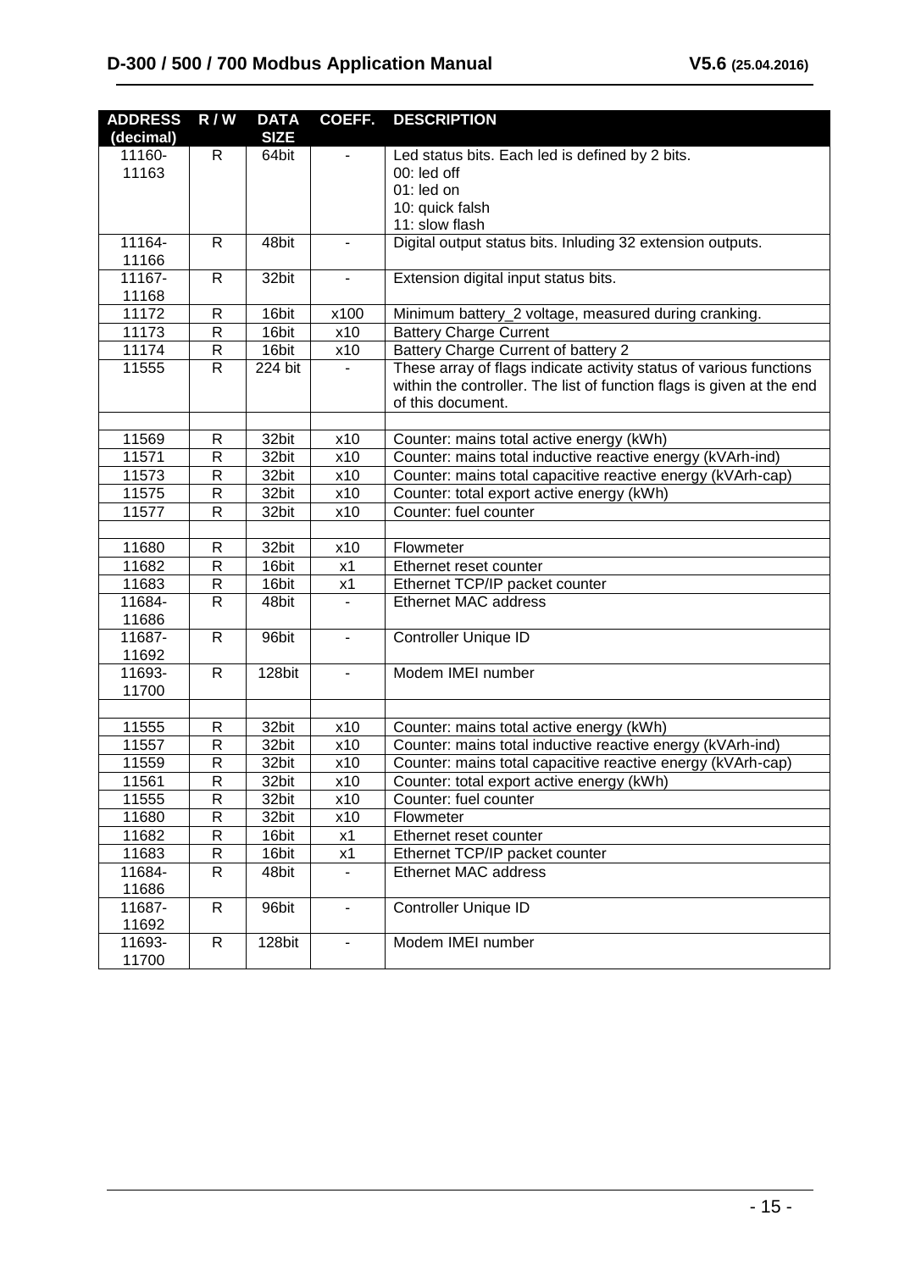| <b>ADDRESS</b> | $\overline{R}$ / W | <b>DATA</b> |                          | <b>COEFF. DESCRIPTION</b>                                             |  |
|----------------|--------------------|-------------|--------------------------|-----------------------------------------------------------------------|--|
| (decimal)      |                    | <b>SIZE</b> |                          |                                                                       |  |
| 11160-         | R                  | 64bit       | $\blacksquare$           | Led status bits. Each led is defined by 2 bits.                       |  |
| 11163          |                    |             |                          | 00: led off                                                           |  |
|                |                    |             |                          | 01: led on                                                            |  |
|                |                    |             |                          | 10: quick falsh                                                       |  |
|                |                    |             |                          | 11: slow flash                                                        |  |
| 11164-         | R.                 | 48bit       | $\blacksquare$           | Digital output status bits. Inluding 32 extension outputs.            |  |
| 11166          |                    |             |                          |                                                                       |  |
| 11167-         | $\mathsf{R}$       | 32bit       | $\blacksquare$           | Extension digital input status bits.                                  |  |
| 11168          |                    |             |                          |                                                                       |  |
| 11172          | R                  | 16bit       | x100                     | Minimum battery_2 voltage, measured during cranking.                  |  |
| 11173          | ${\sf R}$          | 16bit       | x10                      | <b>Battery Charge Current</b>                                         |  |
| 11174          | R                  | 16bit       | x10                      | Battery Charge Current of battery 2                                   |  |
| 11555          | $\overline{R}$     | 224 bit     |                          | These array of flags indicate activity status of various functions    |  |
|                |                    |             |                          | within the controller. The list of function flags is given at the end |  |
|                |                    |             |                          | of this document.                                                     |  |
|                |                    |             |                          |                                                                       |  |
| 11569          | R                  | 32bit       | x10                      | Counter: mains total active energy (kWh)                              |  |
| 11571          | R                  | 32bit       | x10                      | Counter: mains total inductive reactive energy (kVArh-ind)            |  |
| 11573          | R                  | 32bit       | x10                      | Counter: mains total capacitive reactive energy (kVArh-cap)           |  |
| 11575          | R                  | 32bit       | x10                      | Counter: total export active energy (kWh)                             |  |
| 11577          | R                  | 32bit       | x10                      | Counter: fuel counter                                                 |  |
|                |                    |             |                          |                                                                       |  |
| 11680          | R                  | 32bit       | x10                      | Flowmeter                                                             |  |
| 11682          | R                  | 16bit       | x1                       | Ethernet reset counter                                                |  |
| 11683          | R                  | 16bit       | x1                       | Ethernet TCP/IP packet counter                                        |  |
| 11684-         | R                  | 48bit       |                          | Ethernet MAC address                                                  |  |
| 11686          |                    |             |                          |                                                                       |  |
| 11687-         | $\mathsf{R}$       | 96bit       | $\overline{\phantom{a}}$ | Controller Unique ID                                                  |  |
| 11692          |                    |             |                          |                                                                       |  |
| 11693-         | $\mathsf{R}$       | 128bit      | $\blacksquare$           | Modem IMEI number                                                     |  |
| 11700          |                    |             |                          |                                                                       |  |
|                |                    |             |                          |                                                                       |  |
| 11555          | R                  | 32bit       | x10                      | Counter: mains total active energy (kWh)                              |  |
| 11557          | ${\sf R}$          | 32bit       | x10                      | Counter: mains total inductive reactive energy (kVArh-ind)            |  |
| 11559          | ${\sf R}$          | 32bit       | x10                      | Counter: mains total capacitive reactive energy (kVArh-cap)           |  |
| 11561          | $\overline{R}$     | 32bit       | x10                      | Counter: total export active energy (kWh)                             |  |
| 11555          | ${\sf R}$          | 32bit       | x10                      | Counter: fuel counter                                                 |  |
| 11680          | R                  | 32bit       | x10                      | Flowmeter                                                             |  |
| 11682          | ${\sf R}$          | 16bit       | x1                       | Ethernet reset counter                                                |  |
| 11683          | ${\sf R}$          | 16bit       | x1                       | Ethernet TCP/IP packet counter                                        |  |
| 11684-         | $\mathsf{R}$       | 48bit       |                          | Ethernet MAC address                                                  |  |
| 11686          |                    |             |                          |                                                                       |  |
| 11687-         | ${\sf R}$          | 96bit       | $\overline{\phantom{0}}$ | Controller Unique ID                                                  |  |
| 11692          |                    |             |                          |                                                                       |  |
| 11693-         | ${\sf R}$          | 128bit      |                          | Modem IMEI number                                                     |  |
| 11700          |                    |             |                          |                                                                       |  |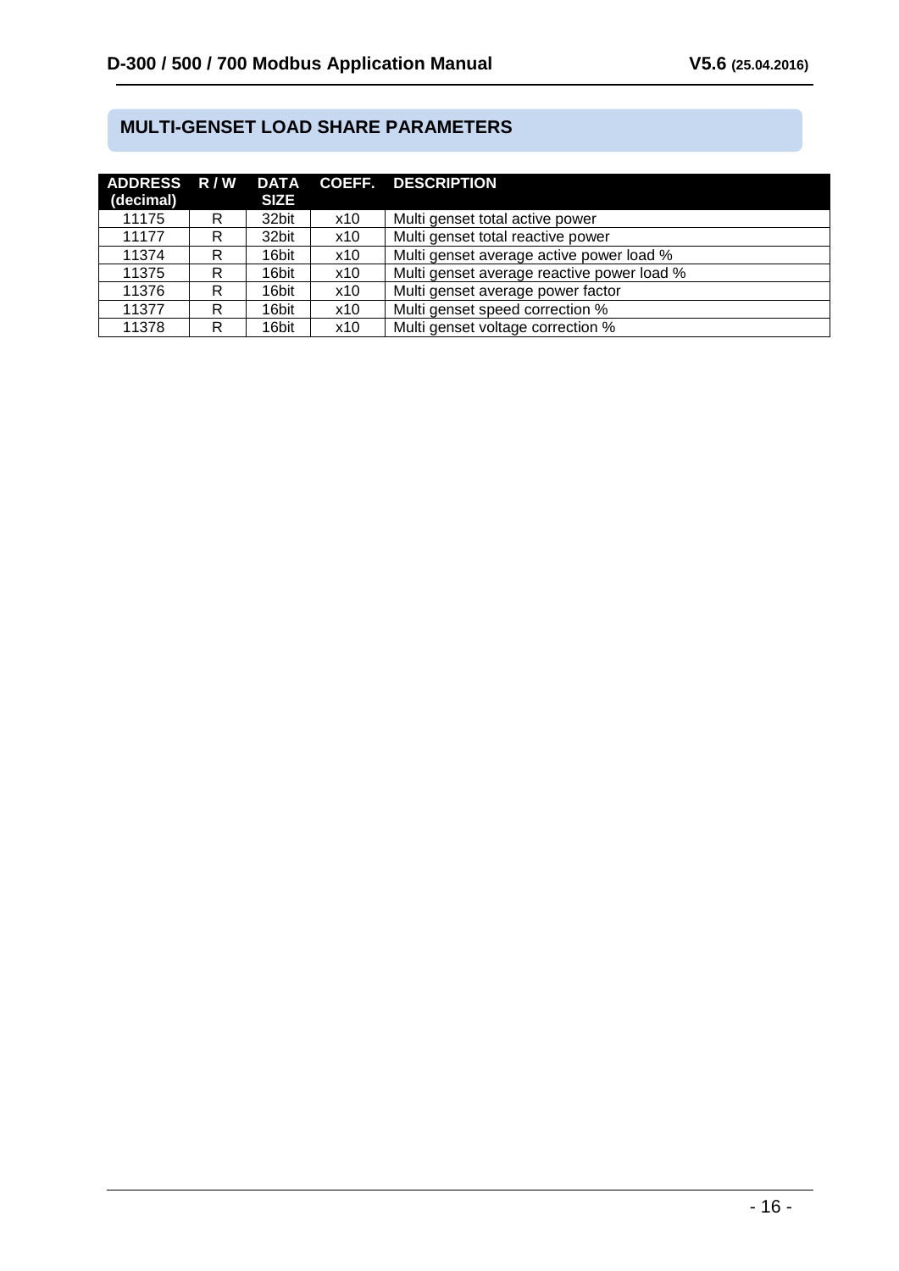## **MULTI-GENSET LOAD SHARE PARAMETERS**

| (decimal) |   | <b>SIZE</b> |     | ADDRESS R/W DATA COEFF. DESCRIPTION        |
|-----------|---|-------------|-----|--------------------------------------------|
| 11175     | R | 32bit       | x10 | Multi genset total active power            |
| 11177     | R | 32bit       | x10 | Multi genset total reactive power          |
| 11374     | R | 16bit       | x10 | Multi genset average active power load %   |
| 11375     | R | 16bit       | x10 | Multi genset average reactive power load % |
| 11376     | R | 16bit       | x10 | Multi genset average power factor          |
| 11377     | R | 16bit       | x10 | Multi genset speed correction %            |
| 11378     | R | 16bit       | x10 | Multi genset voltage correction %          |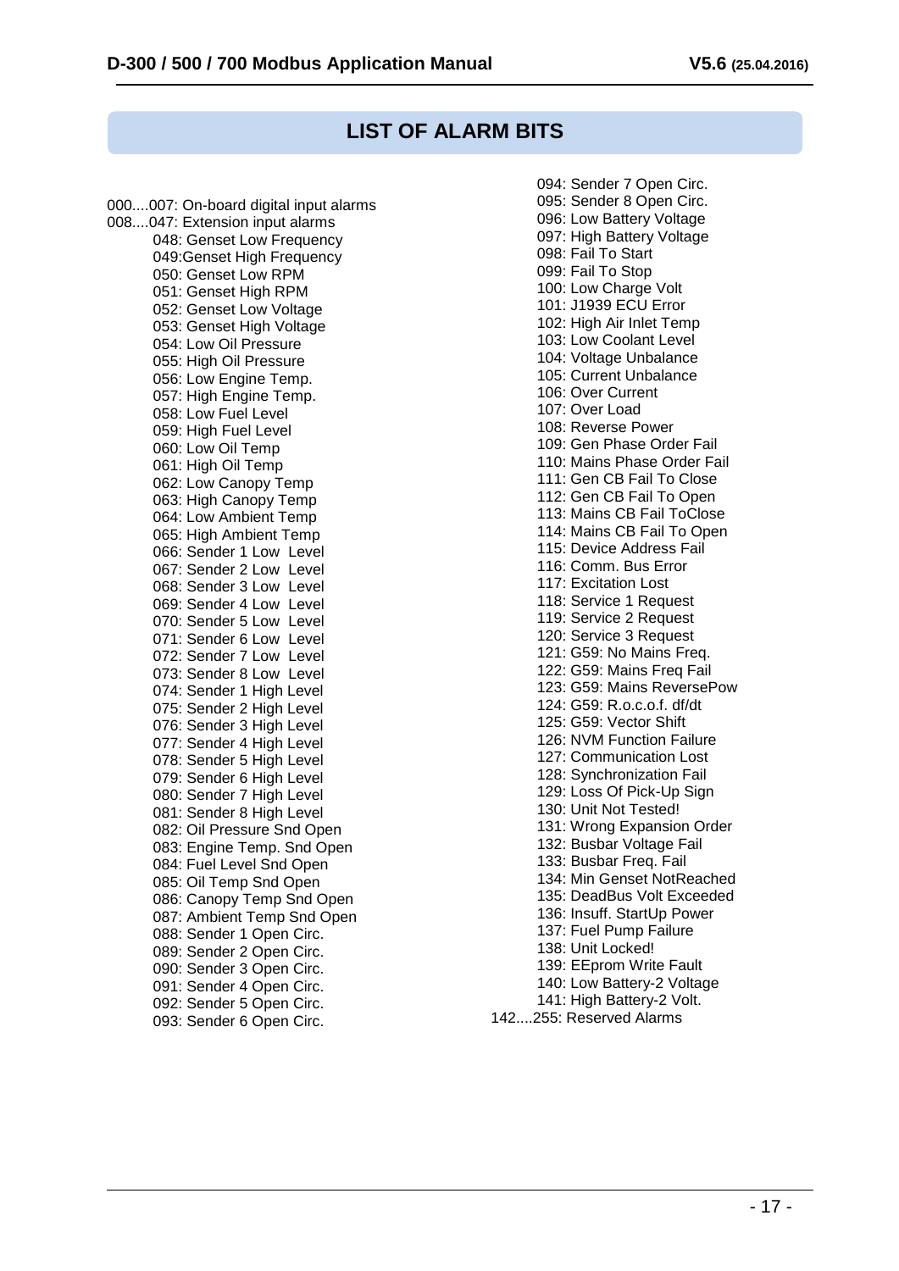## **LIST OF ALARM BITS**

000....007: On-board digital input alarms 008....047: Extension input alarms 048: Genset Low Frequency 049:Genset High Frequency 050: Genset Low RPM 051: Genset High RPM 052: Genset Low Voltage 053: Genset High Voltage 054: Low Oil Pressure 055: High Oil Pressure 056: Low Engine Temp. 057: High Engine Temp. 058: Low Fuel Level 059: High Fuel Level 060: Low Oil Temp 061: High Oil Temp 062: Low Canopy Temp 063: High Canopy Temp 064: Low Ambient Temp 065: High Ambient Temp 066: Sender 1 Low Level 067: Sender 2 Low Level 068: Sender 3 Low Level 069: Sender 4 Low Level 070: Sender 5 Low Level 071: Sender 6 Low Level 072: Sender 7 Low Level 073: Sender 8 Low Level 074: Sender 1 High Level 075: Sender 2 High Level 076: Sender 3 High Level 077: Sender 4 High Level 078: Sender 5 High Level 079: Sender 6 High Level 080: Sender 7 High Level 081: Sender 8 High Level 082: Oil Pressure Snd Open 083: Engine Temp. Snd Open 084: Fuel Level Snd Open 085: Oil Temp Snd Open 086: Canopy Temp Snd Open 087: Ambient Temp Snd Open 088: Sender 1 Open Circ. 089: Sender 2 Open Circ. 090: Sender 3 Open Circ. 091: Sender 4 Open Circ. 092: Sender 5 Open Circ. 093: Sender 6 Open Circ.

 094: Sender 7 Open Circ. 095: Sender 8 Open Circ. 096: Low Battery Voltage 097: High Battery Voltage 098: Fail To Start 099: Fail To Stop 100: Low Charge Volt 101: J1939 ECU Error 102: High Air Inlet Temp 103: Low Coolant Level 104: Voltage Unbalance 105: Current Unbalance 106: Over Current 107: Over Load 108: Reverse Power 109: Gen Phase Order Fail 110: Mains Phase Order Fail 111: Gen CB Fail To Close 112: Gen CB Fail To Open 113: Mains CB Fail ToClose 114: Mains CB Fail To Open 115: Device Address Fail 116: Comm. Bus Error 117: Excitation Lost 118: Service 1 Request 119: Service 2 Request 120: Service 3 Request 121: G59: No Mains Freq. 122: G59: Mains Freq Fail 123: G59: Mains ReversePow 124: G59: R.o.c.o.f. df/dt 125: G59: Vector Shift 126: NVM Function Failure 127: Communication Lost 128: Synchronization Fail 129: Loss Of Pick-Up Sign 130: Unit Not Tested! 131: Wrong Expansion Order 132: Busbar Voltage Fail 133: Busbar Freq. Fail 134: Min Genset NotReached 135: DeadBus Volt Exceeded 136: Insuff. StartUp Power 137: Fuel Pump Failure 138: Unit Locked! 139: EEprom Write Fault 140: Low Battery-2 Voltage 141: High Battery-2 Volt. 142....255: Reserved Alarms